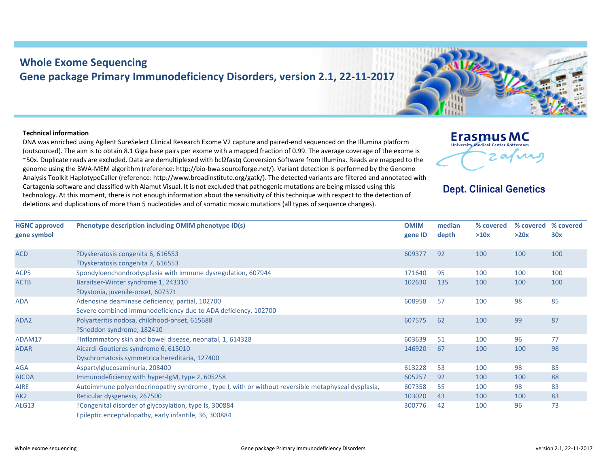## **Whole Exome Sequencing Gene package Primary Immunodeficiency Disorders, version 2.1, 22‐11‐2017**

## **Technical information**

DNA was enriched using Agilent SureSelect Clinical Research Exome V2 capture and paired‐end sequenced on the Illumina platform (outsourced). The aim is to obtain 8.1 Giga base pairs per exome with <sup>a</sup> mapped fraction of 0.99. The average coverage of the exome is ~50x. Duplicate reads are excluded. Data are demultiplexed with bcl2fastq Conversion Software from Illumina. Reads are mapped to the genome using the BWA‐MEM algorithm (reference: http://bio‐bwa.sourceforge.net/). Variant detection is performed by the Genome Analysis Toolkit HaplotypeCaller (reference: http://www.broadinstitute.org/gatk/). The detected variants are filtered and annotated with Cartagenia software and classified with Alamut Visual. It is not excluded that pathogenic mutations are being missed using this technology. At this moment, there is not enough information about the sensitivity of this technique with respect to the detection of deletions and duplications of more than 5 nucleotides and of somatic mosaic mutations (all types of sequence changes).



## **Dept. Clinical Genetics**

| <b>HGNC approved</b><br>gene symbol | Phenotype description including OMIM phenotype ID(s)                                                            | <b>OMIM</b><br>gene ID | median<br>depth | % covered<br>>10x | % covered<br>>20x | % covered<br>30x |
|-------------------------------------|-----------------------------------------------------------------------------------------------------------------|------------------------|-----------------|-------------------|-------------------|------------------|
| <b>ACD</b>                          | ?Dyskeratosis congenita 6, 616553                                                                               | 609377                 | 92              | 100               | 100               | 100              |
|                                     | ?Dyskeratosis congenita 7, 616553                                                                               |                        |                 |                   |                   |                  |
| ACP5                                | Spondyloenchondrodysplasia with immune dysregulation, 607944                                                    | 171640                 | 95              | 100               | 100               | 100              |
| <b>ACTB</b>                         | Baraitser-Winter syndrome 1, 243310                                                                             | 102630                 | 135             | 100               | 100               | 100              |
|                                     | ?Dystonia, juvenile-onset, 607371                                                                               |                        |                 |                   |                   |                  |
| <b>ADA</b>                          | Adenosine deaminase deficiency, partial, 102700                                                                 | 608958                 | 57              | 100               | 98                | 85               |
|                                     | Severe combined immunodeficiency due to ADA deficiency, 102700                                                  |                        |                 |                   |                   |                  |
| ADA2                                | Polyarteritis nodosa, childhood-onset, 615688                                                                   | 607575                 | 62              | 100               | 99                | 87               |
|                                     | ?Sneddon syndrome, 182410                                                                                       |                        |                 |                   |                   |                  |
| ADAM17                              | ?Inflammatory skin and bowel disease, neonatal, 1, 614328                                                       | 603639                 | 51              | 100               | 96                | 77               |
| <b>ADAR</b>                         | Aicardi-Goutieres syndrome 6, 615010                                                                            | 146920                 | 67              | 100               | 100               | 98               |
|                                     | Dyschromatosis symmetrica hereditaria, 127400                                                                   |                        |                 |                   |                   |                  |
| <b>AGA</b>                          | Aspartylglucosaminuria, 208400                                                                                  | 613228                 | 53              | 100               | 98                | 85               |
| <b>AICDA</b>                        | Immunodeficiency with hyper-IgM, type 2, 605258                                                                 | 605257                 | 92              | 100               | 100               | 88               |
| <b>AIRE</b>                         | Autoimmune polyendocrinopathy syndrome, type I, with or without reversible metaphyseal dysplasia,               | 607358                 | 55              | 100               | 98                | 83               |
| AK <sub>2</sub>                     | Reticular dysgenesis, 267500                                                                                    | 103020                 | 43              | 100               | 100               | 83               |
| ALG13                               | ?Congenital disorder of glycosylation, type Is, 300884<br>Epileptic encephalopathy, early infantile, 36, 300884 | 300776                 | 42              | 100               | 96                | 73               |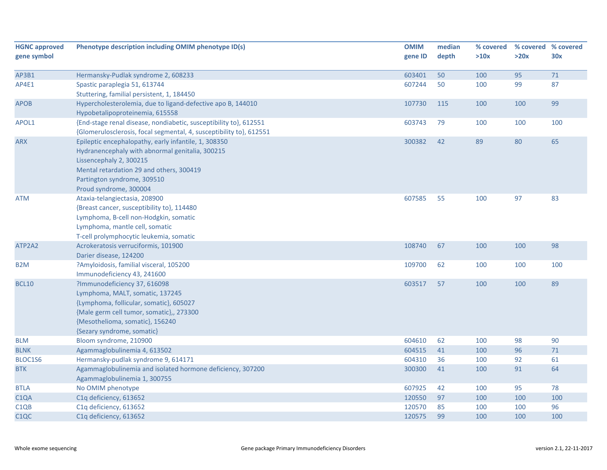| <b>HGNC approved</b> | Phenotype description including OMIM phenotype ID(s)                | <b>OMIM</b> | median | % covered | % covered % covered |     |
|----------------------|---------------------------------------------------------------------|-------------|--------|-----------|---------------------|-----|
| gene symbol          |                                                                     | gene ID     | depth  | >10x      | >20x                | 30x |
|                      |                                                                     |             |        |           |                     |     |
| AP3B1                | Hermansky-Pudlak syndrome 2, 608233                                 | 603401      | 50     | 100       | 95                  | 71  |
| AP4E1                | Spastic paraplegia 51, 613744                                       | 607244      | 50     | 100       | 99                  | 87  |
|                      | Stuttering, familial persistent, 1, 184450                          |             |        |           |                     |     |
| <b>APOB</b>          | Hypercholesterolemia, due to ligand-defective apo B, 144010         | 107730      | 115    | 100       | 100                 | 99  |
|                      | Hypobetalipoproteinemia, 615558                                     |             |        |           |                     |     |
| APOL1                | {End-stage renal disease, nondiabetic, susceptibility to}, 612551   | 603743      | 79     | 100       | 100                 | 100 |
|                      | {Glomerulosclerosis, focal segmental, 4, susceptibility to}, 612551 |             |        |           |                     |     |
| <b>ARX</b>           | Epileptic encephalopathy, early infantile, 1, 308350                | 300382      | 42     | 89        | 80                  | 65  |
|                      | Hydranencephaly with abnormal genitalia, 300215                     |             |        |           |                     |     |
|                      | Lissencephaly 2, 300215                                             |             |        |           |                     |     |
|                      | Mental retardation 29 and others, 300419                            |             |        |           |                     |     |
|                      | Partington syndrome, 309510                                         |             |        |           |                     |     |
|                      | Proud syndrome, 300004                                              |             |        |           |                     |     |
| <b>ATM</b>           | Ataxia-telangiectasia, 208900                                       | 607585      | 55     | 100       | 97                  | 83  |
|                      | {Breast cancer, susceptibility to}, 114480                          |             |        |           |                     |     |
|                      | Lymphoma, B-cell non-Hodgkin, somatic                               |             |        |           |                     |     |
|                      | Lymphoma, mantle cell, somatic                                      |             |        |           |                     |     |
|                      | T-cell prolymphocytic leukemia, somatic                             |             |        |           |                     |     |
| ATP2A2               | Acrokeratosis verruciformis, 101900                                 | 108740      | 67     | 100       | 100                 | 98  |
|                      | Darier disease, 124200                                              |             |        |           |                     |     |
| B <sub>2</sub> M     | ?Amyloidosis, familial visceral, 105200                             | 109700      | 62     | 100       | 100                 | 100 |
|                      | Immunodeficiency 43, 241600                                         |             |        |           |                     |     |
| <b>BCL10</b>         | ?Immunodeficiency 37, 616098                                        | 603517      | 57     | 100       | 100                 | 89  |
|                      | Lymphoma, MALT, somatic, 137245                                     |             |        |           |                     |     |
|                      | {Lymphoma, follicular, somatic}, 605027                             |             |        |           |                     |     |
|                      | {Male germ cell tumor, somatic},, 273300                            |             |        |           |                     |     |
|                      | {Mesothelioma, somatic}, 156240                                     |             |        |           |                     |     |
|                      | {Sezary syndrome, somatic}                                          |             |        |           |                     |     |
| <b>BLM</b>           | Bloom syndrome, 210900                                              | 604610      | 62     | 100       | 98                  | 90  |
| <b>BLNK</b>          | Agammaglobulinemia 4, 613502                                        | 604515      | 41     | 100       | 96                  | 71  |
| BLOC1S6              | Hermansky-pudlak syndrome 9, 614171                                 | 604310      | 36     | 100       | 92                  | 61  |
| <b>BTK</b>           | Agammaglobulinemia and isolated hormone deficiency, 307200          | 300300      | 41     | 100       | 91                  | 64  |
|                      | Agammaglobulinemia 1, 300755                                        |             |        |           |                     |     |
| <b>BTLA</b>          | No OMIM phenotype                                                   | 607925      | 42     | 100       | 95                  | 78  |
| C <sub>1</sub> QA    | C1q deficiency, 613652                                              | 120550      | 97     | 100       | 100                 | 100 |
| C <sub>1QB</sub>     | C1q deficiency, 613652                                              | 120570      | 85     | 100       | 100                 | 96  |
| C <sub>1</sub> QC    | C1q deficiency, 613652                                              | 120575      | 99     | 100       | 100                 | 100 |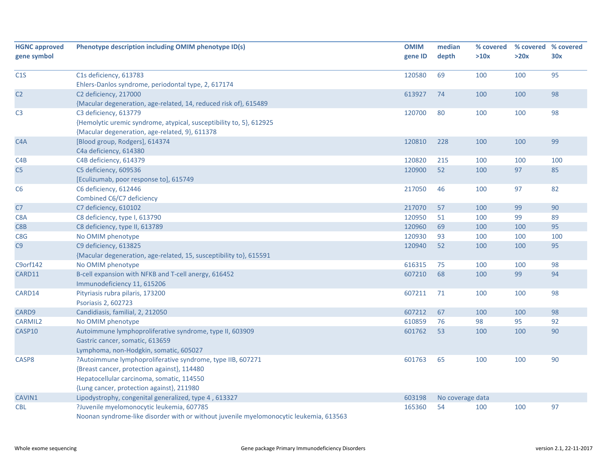| <b>HGNC approved</b> | Phenotype description including OMIM phenotype ID(s)                                   | <b>OMIM</b> | median           | % covered | % covered % covered |     |
|----------------------|----------------------------------------------------------------------------------------|-------------|------------------|-----------|---------------------|-----|
| gene symbol          |                                                                                        | gene ID     | depth            | >10x      | >20x                | 30x |
|                      |                                                                                        |             |                  |           |                     |     |
| C1S                  | C1s deficiency, 613783                                                                 | 120580      | 69               | 100       | 100                 | 95  |
|                      | Ehlers-Danlos syndrome, periodontal type, 2, 617174                                    |             |                  |           |                     |     |
| C <sub>2</sub>       | C2 deficiency, 217000                                                                  | 613927      | 74               | 100       | 100                 | 98  |
|                      | {Macular degeneration, age-related, 14, reduced risk of}, 615489                       |             |                  |           |                     |     |
| C <sub>3</sub>       | C3 deficiency, 613779                                                                  | 120700      | 80               | 100       | 100                 | 98  |
|                      | {Hemolytic uremic syndrome, atypical, susceptibility to, 5}, 612925                    |             |                  |           |                     |     |
|                      | {Macular degeneration, age-related, 9}, 611378                                         |             |                  |           |                     |     |
| C <sub>4</sub> A     | [Blood group, Rodgers], 614374                                                         | 120810      | 228              | 100       | 100                 | 99  |
|                      | C4a deficiency, 614380                                                                 |             |                  |           |                     |     |
| C4B                  | C4B deficiency, 614379                                                                 | 120820      | 215              | 100       | 100                 | 100 |
| C <sub>5</sub>       | C5 deficiency, 609536                                                                  | 120900      | 52               | 100       | 97                  | 85  |
|                      | [Eculizumab, poor response to], 615749                                                 |             |                  |           |                     |     |
| C <sub>6</sub>       | C6 deficiency, 612446                                                                  | 217050      | 46               | 100       | 97                  | 82  |
|                      | Combined C6/C7 deficiency                                                              |             |                  |           |                     |     |
| C7                   | C7 deficiency, 610102                                                                  | 217070      | 57               | 100       | 99                  | 90  |
| C8A                  | C8 deficiency, type I, 613790                                                          | 120950      | 51               | 100       | 99                  | 89  |
| C8 <sub>B</sub>      | C8 deficiency, type II, 613789                                                         | 120960      | 69               | 100       | 100                 | 95  |
| C8G                  | No OMIM phenotype                                                                      | 120930      | 93               | 100       | 100                 | 100 |
| C9                   | C9 deficiency, 613825                                                                  | 120940      | 52               | 100       | 100                 | 95  |
|                      | {Macular degeneration, age-related, 15, susceptibility to}, 615591                     |             |                  |           |                     |     |
| C9orf142             | No OMIM phenotype                                                                      | 616315      | 75               | 100       | 100                 | 98  |
| CARD11               | B-cell expansion with NFKB and T-cell anergy, 616452                                   | 607210      | 68               | 100       | 99                  | 94  |
|                      | Immunodeficiency 11, 615206                                                            |             |                  |           |                     |     |
| CARD14               | Pityriasis rubra pilaris, 173200                                                       | 607211      | 71               | 100       | 100                 | 98  |
|                      | Psoriasis 2, 602723                                                                    |             |                  |           |                     |     |
| CARD9                | Candidiasis, familial, 2, 212050                                                       | 607212      | 67               | 100       | 100                 | 98  |
| <b>CARMIL2</b>       | No OMIM phenotype                                                                      | 610859      | 76               | 98        | 95                  | 92  |
| CASP10               | Autoimmune lymphoproliferative syndrome, type II, 603909                               | 601762      | 53               | 100       | 100                 | 90  |
|                      | Gastric cancer, somatic, 613659                                                        |             |                  |           |                     |     |
|                      | Lymphoma, non-Hodgkin, somatic, 605027                                                 |             |                  |           |                     |     |
| CASP8                | ?Autoimmune lymphoproliferative syndrome, type IIB, 607271                             | 601763      | 65               | 100       | 100                 | 90  |
|                      | {Breast cancer, protection against}, 114480                                            |             |                  |           |                     |     |
|                      | Hepatocellular carcinoma, somatic, 114550                                              |             |                  |           |                     |     |
|                      | {Lung cancer, protection against}, 211980                                              |             |                  |           |                     |     |
| CAVIN1               | Lipodystrophy, congenital generalized, type 4, 613327                                  | 603198      | No coverage data |           |                     |     |
| <b>CBL</b>           | ?Juvenile myelomonocytic leukemia, 607785                                              | 165360      | 54               | 100       | 100                 | 97  |
|                      | Noonan syndrome-like disorder with or without juvenile myelomonocytic leukemia, 613563 |             |                  |           |                     |     |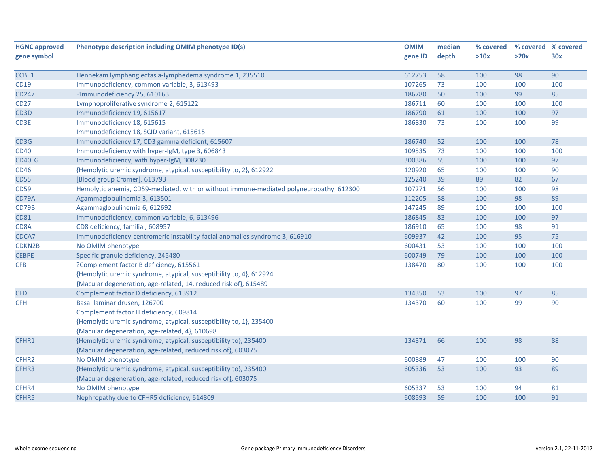| <b>HGNC approved</b> | Phenotype description including OMIM phenotype ID(s)                                    | <b>OMIM</b> | median | % covered |      | % covered % covered |
|----------------------|-----------------------------------------------------------------------------------------|-------------|--------|-----------|------|---------------------|
| gene symbol          |                                                                                         | gene ID     | depth  | >10x      | >20x | 30x                 |
|                      |                                                                                         |             |        |           |      |                     |
| CCBE1                | Hennekam lymphangiectasia-lymphedema syndrome 1, 235510                                 | 612753      | 58     | 100       | 98   | 90                  |
| <b>CD19</b>          | Immunodeficiency, common variable, 3, 613493                                            | 107265      | 73     | 100       | 100  | 100                 |
| <b>CD247</b>         | ?Immunodeficiency 25, 610163                                                            | 186780      | 50     | 100       | 99   | 85                  |
| <b>CD27</b>          | Lymphoproliferative syndrome 2, 615122                                                  | 186711      | 60     | 100       | 100  | 100                 |
| CD <sub>3</sub> D    | Immunodeficiency 19, 615617                                                             | 186790      | 61     | 100       | 100  | 97                  |
| CD3E                 | Immunodeficiency 18, 615615                                                             | 186830      | 73     | 100       | 100  | 99                  |
|                      | Immunodeficiency 18, SCID variant, 615615                                               |             |        |           |      |                     |
| CD3G                 | Immunodeficiency 17, CD3 gamma deficient, 615607                                        | 186740      | 52     | 100       | 100  | 78                  |
| <b>CD40</b>          | Immunodeficiency with hyper-IgM, type 3, 606843                                         | 109535      | 73     | 100       | 100  | 100                 |
| CD40LG               | Immunodeficiency, with hyper-IgM, 308230                                                | 300386      | 55     | 100       | 100  | 97                  |
| <b>CD46</b>          | {Hemolytic uremic syndrome, atypical, susceptibility to, 2}, 612922                     | 120920      | 65     | 100       | 100  | 90                  |
| <b>CD55</b>          | [Blood group Cromer], 613793                                                            | 125240      | 39     | 89        | 82   | 67                  |
| <b>CD59</b>          | Hemolytic anemia, CD59-mediated, with or without immune-mediated polyneuropathy, 612300 | 107271      | 56     | 100       | 100  | 98                  |
| CD79A                | Agammaglobulinemia 3, 613501                                                            | 112205      | 58     | 100       | 98   | 89                  |
| CD79B                | Agammaglobulinemia 6, 612692                                                            | 147245      | 89     | 100       | 100  | 100                 |
| <b>CD81</b>          | Immunodeficiency, common variable, 6, 613496                                            | 186845      | 83     | 100       | 100  | 97                  |
| CD8A                 | CD8 deficiency, familial, 608957                                                        | 186910      | 65     | 100       | 98   | 91                  |
| CDCA7                | Immunodeficiency-centromeric instability-facial anomalies syndrome 3, 616910            | 609937      | 42     | 100       | 95   | 75                  |
| CDKN2B               | No OMIM phenotype                                                                       | 600431      | 53     | 100       | 100  | 100                 |
| <b>CEBPE</b>         | Specific granule deficiency, 245480                                                     | 600749      | 79     | 100       | 100  | 100                 |
| <b>CFB</b>           | ?Complement factor B deficiency, 615561                                                 | 138470      | 80     | 100       | 100  | 100                 |
|                      | {Hemolytic uremic syndrome, atypical, susceptibility to, 4}, 612924                     |             |        |           |      |                     |
|                      | {Macular degeneration, age-related, 14, reduced risk of}, 615489                        |             |        |           |      |                     |
| <b>CFD</b>           | Complement factor D deficiency, 613912                                                  | 134350      | 53     | 100       | 97   | 85                  |
| <b>CFH</b>           | Basal laminar drusen, 126700                                                            | 134370      | 60     | 100       | 99   | 90                  |
|                      | Complement factor H deficiency, 609814                                                  |             |        |           |      |                     |
|                      | {Hemolytic uremic syndrome, atypical, susceptibility to, 1}, 235400                     |             |        |           |      |                     |
|                      | {Macular degeneration, age-related, 4}, 610698                                          |             |        |           |      |                     |
| CFHR1                | {Hemolytic uremic syndrome, atypical, susceptibility to}, 235400                        | 134371      | 66     | 100       | 98   | 88                  |
|                      | {Macular degeneration, age-related, reduced risk of}, 603075                            |             |        |           |      |                     |
| CFHR2                | No OMIM phenotype                                                                       | 600889      | 47     | 100       | 100  | 90                  |
| CFHR3                | {Hemolytic uremic syndrome, atypical, susceptibility to}, 235400                        | 605336      | 53     | 100       | 93   | 89                  |
|                      | {Macular degeneration, age-related, reduced risk of}, 603075                            |             |        |           |      |                     |
| CFHR4                | No OMIM phenotype                                                                       | 605337      | 53     | 100       | 94   | 81                  |
| CFHR5                | Nephropathy due to CFHR5 deficiency, 614809                                             | 608593      | 59     | 100       | 100  | 91                  |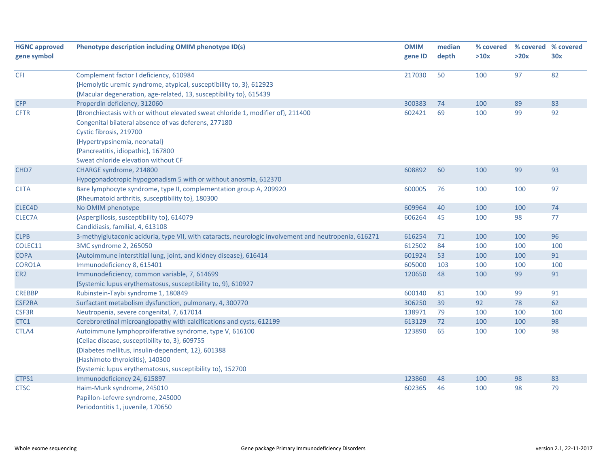| <b>HGNC approved</b> | Phenotype description including OMIM phenotype ID(s)                                                  | <b>OMIM</b> | median | % covered |      | % covered % covered |
|----------------------|-------------------------------------------------------------------------------------------------------|-------------|--------|-----------|------|---------------------|
| gene symbol          |                                                                                                       | gene ID     | depth  | >10x      | >20x | 30x                 |
| <b>CFI</b>           | Complement factor I deficiency, 610984                                                                | 217030      | 50     | 100       | 97   | 82                  |
|                      | {Hemolytic uremic syndrome, atypical, susceptibility to, 3}, 612923                                   |             |        |           |      |                     |
|                      | {Macular degeneration, age-related, 13, susceptibility to}, 615439                                    |             |        |           |      |                     |
| <b>CFP</b>           | Properdin deficiency, 312060                                                                          | 300383      | 74     | 100       | 89   | 83                  |
| <b>CFTR</b>          | {Bronchiectasis with or without elevated sweat chloride 1, modifier of}, 211400                       | 602421      | 69     | 100       | 99   | 92                  |
|                      | Congenital bilateral absence of vas deferens, 277180                                                  |             |        |           |      |                     |
|                      | Cystic fibrosis, 219700                                                                               |             |        |           |      |                     |
|                      | {Hypertrypsinemia, neonatal}                                                                          |             |        |           |      |                     |
|                      | {Pancreatitis, idiopathic}, 167800                                                                    |             |        |           |      |                     |
|                      | Sweat chloride elevation without CF                                                                   |             |        |           |      |                     |
| CHD7                 | CHARGE syndrome, 214800                                                                               | 608892      | 60     | 100       | 99   | 93                  |
|                      | Hypogonadotropic hypogonadism 5 with or without anosmia, 612370                                       |             |        |           |      |                     |
| <b>CIITA</b>         | Bare lymphocyte syndrome, type II, complementation group A, 209920                                    | 600005      | 76     | 100       | 100  | 97                  |
|                      | {Rheumatoid arthritis, susceptibility to}, 180300                                                     |             |        |           |      |                     |
| CLEC4D               | No OMIM phenotype                                                                                     | 609964      | 40     | 100       | 100  | 74                  |
| CLEC7A               | {Aspergillosis, susceptibility to}, 614079                                                            | 606264      | 45     | 100       | 98   | 77                  |
|                      | Candidiasis, familial, 4, 613108                                                                      |             |        |           |      |                     |
| <b>CLPB</b>          | 3-methylglutaconic aciduria, type VII, with cataracts, neurologic involvement and neutropenia, 616271 | 616254      | 71     | 100       | 100  | 96                  |
| COLEC11              | 3MC syndrome 2, 265050                                                                                | 612502      | 84     | 100       | 100  | 100                 |
| <b>COPA</b>          | {Autoimmune interstitial lung, joint, and kidney disease}, 616414                                     | 601924      | 53     | 100       | 100  | 91                  |
| CORO1A               | Immunodeficiency 8, 615401                                                                            | 605000      | 103    | 100       | 100  | 100                 |
| CR <sub>2</sub>      | Immunodeficiency, common variable, 7, 614699                                                          | 120650      | 48     | 100       | 99   | 91                  |
|                      | {Systemic lupus erythematosus, susceptibility to, 9}, 610927                                          |             |        |           |      |                     |
| <b>CREBBP</b>        | Rubinstein-Taybi syndrome 1, 180849                                                                   | 600140      | 81     | 100       | 99   | 91                  |
| <b>CSF2RA</b>        | Surfactant metabolism dysfunction, pulmonary, 4, 300770                                               | 306250      | 39     | 92        | 78   | 62                  |
| CSF3R                | Neutropenia, severe congenital, 7, 617014                                                             | 138971      | 79     | 100       | 100  | 100                 |
| CTC1                 | Cerebroretinal microangiopathy with calcifications and cysts, 612199                                  | 613129      | 72     | 100       | 100  | 98                  |
| CTLA4                | Autoimmune lymphoproliferative syndrome, type V, 616100                                               | 123890      | 65     | 100       | 100  | 98                  |
|                      | {Celiac disease, susceptibility to, 3}, 609755                                                        |             |        |           |      |                     |
|                      | {Diabetes mellitus, insulin-dependent, 12}, 601388                                                    |             |        |           |      |                     |
|                      | {Hashimoto thyroiditis}, 140300                                                                       |             |        |           |      |                     |
|                      | {Systemic lupus erythematosus, susceptibility to}, 152700                                             |             |        |           |      |                     |
| CTPS1                | Immunodeficiency 24, 615897                                                                           | 123860      | 48     | 100       | 98   | 83                  |
| <b>CTSC</b>          | Haim-Munk syndrome, 245010                                                                            | 602365      | 46     | 100       | 98   | 79                  |
|                      | Papillon-Lefevre syndrome, 245000                                                                     |             |        |           |      |                     |
|                      | Periodontitis 1, juvenile, 170650                                                                     |             |        |           |      |                     |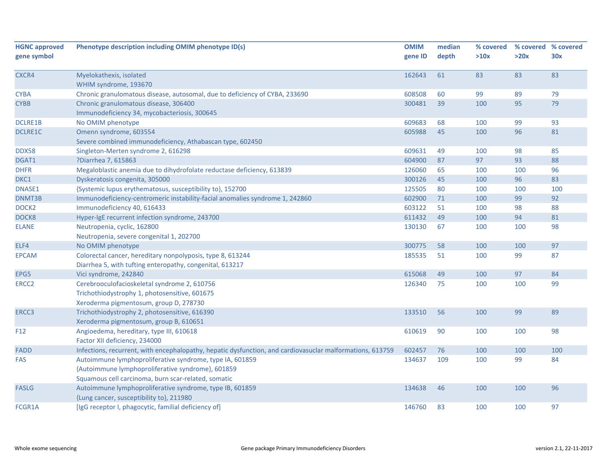| <b>HGNC approved</b> | Phenotype description including OMIM phenotype ID(s)                                                      | <b>OMIM</b> | median | % covered |      | % covered % covered |
|----------------------|-----------------------------------------------------------------------------------------------------------|-------------|--------|-----------|------|---------------------|
| gene symbol          |                                                                                                           | gene ID     | depth  | >10x      | >20x | 30x                 |
| CXCR4                | Myelokathexis, isolated                                                                                   | 162643      | 61     | 83        | 83   | 83                  |
|                      | WHIM syndrome, 193670                                                                                     |             |        |           |      |                     |
| <b>CYBA</b>          | Chronic granulomatous disease, autosomal, due to deficiency of CYBA, 233690                               | 608508      | 60     | 99        | 89   | 79                  |
| <b>CYBB</b>          | Chronic granulomatous disease, 306400                                                                     | 300481      | 39     | 100       | 95   | 79                  |
|                      | Immunodeficiency 34, mycobacteriosis, 300645                                                              |             |        |           |      |                     |
| <b>DCLRE1B</b>       | No OMIM phenotype                                                                                         | 609683      | 68     | 100       | 99   | 93                  |
| <b>DCLRE1C</b>       | Omenn syndrome, 603554                                                                                    | 605988      | 45     | 100       | 96   | 81                  |
|                      | Severe combined immunodeficiency, Athabascan type, 602450                                                 |             |        |           |      |                     |
| <b>DDX58</b>         | Singleton-Merten syndrome 2, 616298                                                                       | 609631      | 49     | 100       | 98   | 85                  |
| DGAT1                | ?Diarrhea 7, 615863                                                                                       | 604900      | 87     | 97        | 93   | 88                  |
| <b>DHFR</b>          | Megaloblastic anemia due to dihydrofolate reductase deficiency, 613839                                    | 126060      | 65     | 100       | 100  | 96                  |
| DKC1                 | Dyskeratosis congenita, 305000                                                                            | 300126      | 45     | 100       | 96   | 83                  |
| DNASE1               | {Systemic lupus erythematosus, susceptibility to}, 152700                                                 | 125505      | 80     | 100       | 100  | 100                 |
| DNMT3B               | Immunodeficiency-centromeric instability-facial anomalies syndrome 1, 242860                              | 602900      | 71     | 100       | 99   | 92                  |
| DOCK <sub>2</sub>    | Immunodeficiency 40, 616433                                                                               | 603122      | 51     | 100       | 98   | 88                  |
| DOCK8                | Hyper-IgE recurrent infection syndrome, 243700                                                            | 611432      | 49     | 100       | 94   | 81                  |
| <b>ELANE</b>         | Neutropenia, cyclic, 162800                                                                               | 130130      | 67     | 100       | 100  | 98                  |
|                      | Neutropenia, severe congenital 1, 202700                                                                  |             |        |           |      |                     |
| ELF4                 | No OMIM phenotype                                                                                         | 300775      | 58     | 100       | 100  | 97                  |
| <b>EPCAM</b>         | Colorectal cancer, hereditary nonpolyposis, type 8, 613244                                                | 185535      | 51     | 100       | 99   | 87                  |
|                      | Diarrhea 5, with tufting enteropathy, congenital, 613217                                                  |             |        |           |      |                     |
| EPG5                 | Vici syndrome, 242840                                                                                     | 615068      | 49     | 100       | 97   | 84                  |
| ERCC <sub>2</sub>    | Cerebrooculofacioskeletal syndrome 2, 610756                                                              | 126340      | 75     | 100       | 100  | 99                  |
|                      | Trichothiodystrophy 1, photosensitive, 601675                                                             |             |        |           |      |                     |
|                      | Xeroderma pigmentosum, group D, 278730                                                                    |             |        |           |      |                     |
| ERCC3                | Trichothiodystrophy 2, photosensitive, 616390                                                             | 133510      | 56     | 100       | 99   | 89                  |
|                      | Xeroderma pigmentosum, group B, 610651                                                                    |             |        |           |      |                     |
| F12                  | Angioedema, hereditary, type III, 610618                                                                  | 610619      | 90     | 100       | 100  | 98                  |
|                      | Factor XII deficiency, 234000                                                                             |             |        |           |      |                     |
| FADD                 | Infections, recurrent, with encephalopathy, hepatic dysfunction, and cardiovasuclar malformations, 613759 | 602457      | 76     | 100       | 100  | 100                 |
| FAS                  | Autoimmune lymphoproliferative syndrome, type IA, 601859                                                  | 134637      | 109    | 100       | 99   | 84                  |
|                      | {Autoimmune lymphoproliferative syndrome}, 601859                                                         |             |        |           |      |                     |
|                      | Squamous cell carcinoma, burn scar-related, somatic                                                       |             |        |           |      |                     |
| <b>FASLG</b>         | Autoimmune lymphoproliferative syndrome, type IB, 601859                                                  | 134638      | 46     | 100       | 100  | 96                  |
|                      | {Lung cancer, susceptibility to}, 211980                                                                  |             |        |           |      |                     |
| FCGR1A               | [IgG receptor I, phagocytic, familial deficiency of]                                                      | 146760      | 83     | 100       | 100  | 97                  |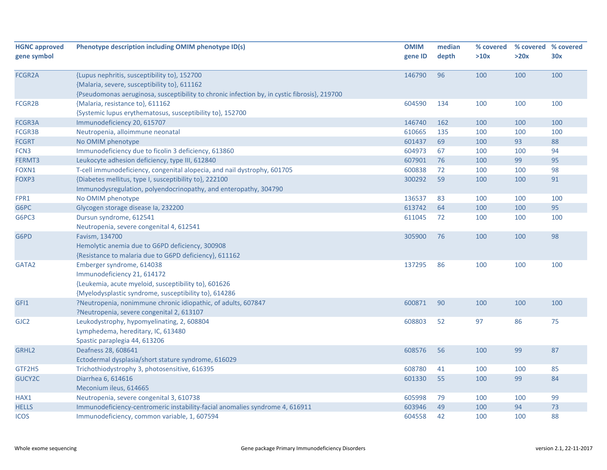| <b>HGNC approved</b>                                                                 | Phenotype description including OMIM phenotype ID(s)                                                                                                                                                                                                                                                                                                                                                                                                                         | <b>OMIM</b>                                                        | median                     | % covered                                    |                                     | % covered % covered              |
|--------------------------------------------------------------------------------------|------------------------------------------------------------------------------------------------------------------------------------------------------------------------------------------------------------------------------------------------------------------------------------------------------------------------------------------------------------------------------------------------------------------------------------------------------------------------------|--------------------------------------------------------------------|----------------------------|----------------------------------------------|-------------------------------------|----------------------------------|
| gene symbol                                                                          |                                                                                                                                                                                                                                                                                                                                                                                                                                                                              | gene ID                                                            | depth                      | >10x                                         | >20x                                | 30x                              |
|                                                                                      |                                                                                                                                                                                                                                                                                                                                                                                                                                                                              |                                                                    |                            |                                              |                                     |                                  |
| <b>FCGR2A</b>                                                                        | {Lupus nephritis, susceptibility to}, 152700                                                                                                                                                                                                                                                                                                                                                                                                                                 | 146790                                                             | 96                         | 100                                          | 100                                 | 100                              |
|                                                                                      | {Malaria, severe, susceptibility to}, 611162                                                                                                                                                                                                                                                                                                                                                                                                                                 |                                                                    |                            |                                              |                                     |                                  |
|                                                                                      | {Pseudomonas aeruginosa, susceptibility to chronic infection by, in cystic fibrosis}, 219700                                                                                                                                                                                                                                                                                                                                                                                 |                                                                    |                            |                                              |                                     |                                  |
| FCGR2B                                                                               | {Malaria, resistance to}, 611162                                                                                                                                                                                                                                                                                                                                                                                                                                             | 604590                                                             | 134                        | 100                                          | 100                                 | 100                              |
|                                                                                      | {Systemic lupus erythematosus, susceptibility to}, 152700                                                                                                                                                                                                                                                                                                                                                                                                                    |                                                                    |                            |                                              |                                     |                                  |
| FCGR3A                                                                               | Immunodeficiency 20, 615707                                                                                                                                                                                                                                                                                                                                                                                                                                                  | 146740                                                             | 162                        | 100                                          | 100                                 | 100                              |
| FCGR3B                                                                               | Neutropenia, alloimmune neonatal                                                                                                                                                                                                                                                                                                                                                                                                                                             | 610665                                                             | 135                        | 100                                          | 100                                 | 100                              |
| <b>FCGRT</b>                                                                         | No OMIM phenotype                                                                                                                                                                                                                                                                                                                                                                                                                                                            | 601437                                                             | 69                         | 100                                          | 93                                  | 88                               |
| FCN3                                                                                 | Immunodeficiency due to ficolin 3 deficiency, 613860                                                                                                                                                                                                                                                                                                                                                                                                                         | 604973                                                             | 67                         | 100                                          | 100                                 | 94                               |
| FERMT3                                                                               | Leukocyte adhesion deficiency, type III, 612840                                                                                                                                                                                                                                                                                                                                                                                                                              | 607901                                                             | 76                         | 100                                          | 99                                  | 95                               |
| FOXN1                                                                                | T-cell immunodeficiency, congenital alopecia, and nail dystrophy, 601705                                                                                                                                                                                                                                                                                                                                                                                                     | 600838                                                             | 72                         | 100                                          | 100                                 | 98                               |
| FOXP3                                                                                | {Diabetes mellitus, type I, susceptibility to}, 222100                                                                                                                                                                                                                                                                                                                                                                                                                       | 300292                                                             | 59                         | 100                                          | 100                                 | 91                               |
|                                                                                      | Immunodysregulation, polyendocrinopathy, and enteropathy, 304790                                                                                                                                                                                                                                                                                                                                                                                                             |                                                                    |                            |                                              |                                     |                                  |
| FPR1                                                                                 | No OMIM phenotype                                                                                                                                                                                                                                                                                                                                                                                                                                                            | 136537                                                             | 83                         | 100                                          | 100                                 | 100                              |
| G6PC                                                                                 | Glycogen storage disease la, 232200                                                                                                                                                                                                                                                                                                                                                                                                                                          | 613742                                                             | 64                         | 100                                          | 100                                 | 95                               |
| G6PC3                                                                                | Dursun syndrome, 612541                                                                                                                                                                                                                                                                                                                                                                                                                                                      | 611045                                                             | 72                         | 100                                          | 100                                 | 100                              |
|                                                                                      | Neutropenia, severe congenital 4, 612541                                                                                                                                                                                                                                                                                                                                                                                                                                     |                                                                    |                            |                                              |                                     |                                  |
| G6PD                                                                                 | Favism, 134700                                                                                                                                                                                                                                                                                                                                                                                                                                                               | 305900                                                             | 76                         | 100                                          | 100                                 | 98                               |
|                                                                                      | Hemolytic anemia due to G6PD deficiency, 300908                                                                                                                                                                                                                                                                                                                                                                                                                              |                                                                    |                            |                                              |                                     |                                  |
|                                                                                      | {Resistance to malaria due to G6PD deficiency}, 611162                                                                                                                                                                                                                                                                                                                                                                                                                       |                                                                    |                            |                                              |                                     |                                  |
| GATA2                                                                                | Emberger syndrome, 614038                                                                                                                                                                                                                                                                                                                                                                                                                                                    | 137295                                                             | 86                         | 100                                          | 100                                 | 100                              |
|                                                                                      | Immunodeficiency 21, 614172                                                                                                                                                                                                                                                                                                                                                                                                                                                  |                                                                    |                            |                                              |                                     |                                  |
|                                                                                      | {Leukemia, acute myeloid, susceptibility to}, 601626                                                                                                                                                                                                                                                                                                                                                                                                                         |                                                                    |                            |                                              |                                     |                                  |
|                                                                                      | {Myelodysplastic syndrome, susceptibility to}, 614286                                                                                                                                                                                                                                                                                                                                                                                                                        |                                                                    |                            |                                              |                                     |                                  |
| GFI1                                                                                 | ?Neutropenia, nonimmune chronic idiopathic, of adults, 607847                                                                                                                                                                                                                                                                                                                                                                                                                | 600871                                                             | 90                         | 100                                          | 100                                 | 100                              |
|                                                                                      | ?Neutropenia, severe congenital 2, 613107                                                                                                                                                                                                                                                                                                                                                                                                                                    |                                                                    |                            |                                              |                                     |                                  |
|                                                                                      |                                                                                                                                                                                                                                                                                                                                                                                                                                                                              |                                                                    | 52                         |                                              | 86                                  | 75                               |
|                                                                                      |                                                                                                                                                                                                                                                                                                                                                                                                                                                                              |                                                                    |                            |                                              |                                     |                                  |
|                                                                                      |                                                                                                                                                                                                                                                                                                                                                                                                                                                                              |                                                                    |                            |                                              |                                     |                                  |
|                                                                                      |                                                                                                                                                                                                                                                                                                                                                                                                                                                                              |                                                                    | 56                         |                                              |                                     |                                  |
|                                                                                      |                                                                                                                                                                                                                                                                                                                                                                                                                                                                              |                                                                    |                            |                                              |                                     |                                  |
|                                                                                      |                                                                                                                                                                                                                                                                                                                                                                                                                                                                              |                                                                    |                            |                                              |                                     |                                  |
|                                                                                      |                                                                                                                                                                                                                                                                                                                                                                                                                                                                              |                                                                    |                            |                                              |                                     |                                  |
|                                                                                      |                                                                                                                                                                                                                                                                                                                                                                                                                                                                              |                                                                    |                            |                                              |                                     |                                  |
|                                                                                      |                                                                                                                                                                                                                                                                                                                                                                                                                                                                              |                                                                    |                            |                                              |                                     |                                  |
|                                                                                      |                                                                                                                                                                                                                                                                                                                                                                                                                                                                              |                                                                    |                            |                                              |                                     |                                  |
|                                                                                      |                                                                                                                                                                                                                                                                                                                                                                                                                                                                              |                                                                    |                            |                                              |                                     |                                  |
| GJC <sub>2</sub><br>GRHL2<br>GTF2H5<br>GUCY2C<br>HAX1<br><b>HELLS</b><br><b>ICOS</b> | Leukodystrophy, hypomyelinating, 2, 608804<br>Lymphedema, hereditary, IC, 613480<br>Spastic paraplegia 44, 613206<br>Deafness 28, 608641<br>Ectodermal dysplasia/short stature syndrome, 616029<br>Trichothiodystrophy 3, photosensitive, 616395<br>Diarrhea 6, 614616<br>Meconium ileus, 614665<br>Neutropenia, severe congenital 3, 610738<br>Immunodeficiency-centromeric instability-facial anomalies syndrome 4, 616911<br>Immunodeficiency, common variable, 1, 607594 | 608803<br>608576<br>608780<br>601330<br>605998<br>603946<br>604558 | 41<br>55<br>79<br>49<br>42 | 97<br>100<br>100<br>100<br>100<br>100<br>100 | 99<br>100<br>99<br>100<br>94<br>100 | 87<br>85<br>84<br>99<br>73<br>88 |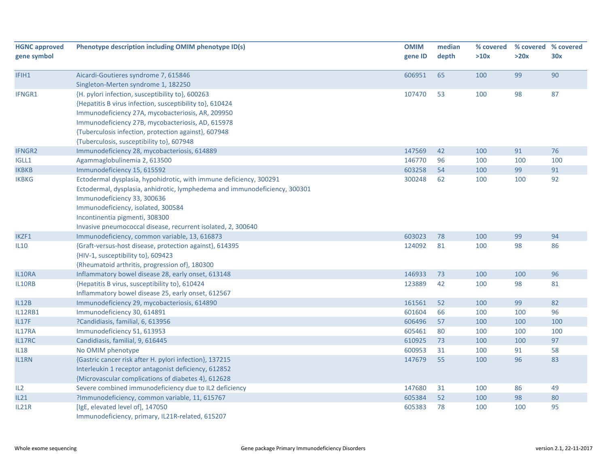| <b>HGNC approved</b>   | Phenotype description including OMIM phenotype ID(s)                       | <b>OMIM</b>      | median   | % covered  |            | % covered % covered |
|------------------------|----------------------------------------------------------------------------|------------------|----------|------------|------------|---------------------|
| gene symbol            |                                                                            | gene ID          | depth    | >10x       | >20x       | 30x                 |
| IFIH1                  | Aicardi-Goutieres syndrome 7, 615846                                       | 606951           | 65       | 100        | 99         | 90                  |
|                        | Singleton-Merten syndrome 1, 182250                                        |                  |          |            |            |                     |
| IFNGR1                 | {H. pylori infection, susceptibility to}, 600263                           | 107470           | 53       | 100        | 98         | 87                  |
|                        | {Hepatitis B virus infection, susceptibility to}, 610424                   |                  |          |            |            |                     |
|                        | Immunodeficiency 27A, mycobacteriosis, AR, 209950                          |                  |          |            |            |                     |
|                        | Immunodeficiency 27B, mycobacteriosis, AD, 615978                          |                  |          |            |            |                     |
|                        | {Tuberculosis infection, protection against}, 607948                       |                  |          |            |            |                     |
|                        | {Tuberculosis, susceptibility to}, 607948                                  |                  |          |            |            |                     |
| <b>IFNGR2</b>          | Immunodeficiency 28, mycobacteriosis, 614889                               | 147569           | 42       | 100        | 91         | 76                  |
| IGLL1                  | Agammaglobulinemia 2, 613500                                               | 146770           | 96       | 100        | 100        | 100                 |
| <b>IKBKB</b>           | Immunodeficiency 15, 615592                                                | 603258           | 54       | 100        | 99         | 91                  |
| <b>IKBKG</b>           | Ectodermal dysplasia, hypohidrotic, with immune deficiency, 300291         | 300248           | 62       | 100        | 100        | 92                  |
|                        | Ectodermal, dysplasia, anhidrotic, lymphedema and immunodeficiency, 300301 |                  |          |            |            |                     |
|                        | Immunodeficiency 33, 300636                                                |                  |          |            |            |                     |
|                        | Immunodeficiency, isolated, 300584                                         |                  |          |            |            |                     |
|                        | Incontinentia pigmenti, 308300                                             |                  |          |            |            |                     |
|                        | Invasive pneumococcal disease, recurrent isolated, 2, 300640               |                  |          |            |            |                     |
| IKZF1                  | Immunodeficiency, common variable, 13, 616873                              | 603023           | 78       | 100        | 99         | 94                  |
| <b>IL10</b>            | {Graft-versus-host disease, protection against}, 614395                    | 124092           | 81       | 100        | 98         | 86                  |
|                        | {HIV-1, susceptibility to}, 609423                                         |                  |          |            |            |                     |
|                        | {Rheumatoid arthritis, progression of}, 180300                             |                  |          |            |            |                     |
| IL10RA                 | Inflammatory bowel disease 28, early onset, 613148                         | 146933           | 73       | 100        | 100        | 96                  |
| IL10RB                 | {Hepatitis B virus, susceptibility to}, 610424                             | 123889           | 42       | 100        | 98         | 81                  |
|                        | Inflammatory bowel disease 25, early onset, 612567                         |                  |          |            |            |                     |
| IL12B                  | Immunodeficiency 29, mycobacteriosis, 614890                               | 161561           | 52       | 100        | 99         | 82                  |
| IL12RB1                | Immunodeficiency 30, 614891                                                | 601604<br>606496 | 66       | 100        | 100        | 96                  |
| <b>IL17F</b><br>IL17RA | ?Candidiasis, familial, 6, 613956<br>Immunodeficiency 51, 613953           | 605461           | 57<br>80 | 100<br>100 | 100<br>100 | 100<br>100          |
| IL17RC                 | Candidiasis, familial, 9, 616445                                           | 610925           | 73       | 100        | 100        | 97                  |
| IL18                   | No OMIM phenotype                                                          | 600953           | 31       | 100        | 91         | 58                  |
| IL1RN                  | {Gastric cancer risk after H. pylori infection}, 137215                    | 147679           | 55       | 100        | 96         | 83                  |
|                        | Interleukin 1 receptor antagonist deficiency, 612852                       |                  |          |            |            |                     |
|                        | {Microvascular complications of diabetes 4}, 612628                        |                  |          |            |            |                     |
| IL2                    | Severe combined immunodeficiency due to IL2 deficiency                     | 147680           | 31       | 100        | 86         | 49                  |
| IL21                   | ?Immunodeficiency, common variable, 11, 615767                             | 605384           | 52       | 100        | 98         | 80                  |
| IL21R                  | [IgE, elevated level of], 147050                                           | 605383           | 78       | 100        | 100        | 95                  |
|                        | Immunodeficiency, primary, IL21R-related, 615207                           |                  |          |            |            |                     |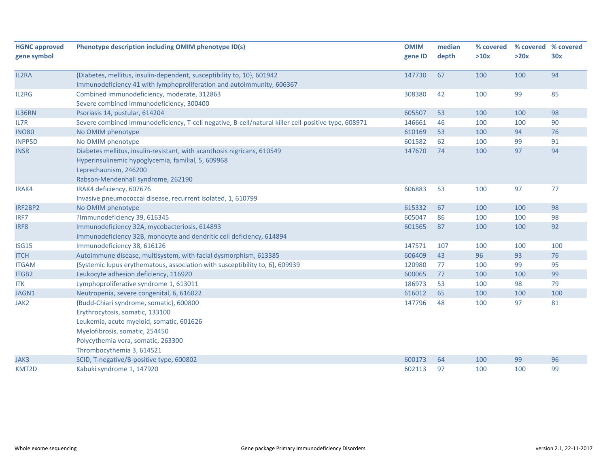| <b>HGNC approved</b> | Phenotype description including OMIM phenotype ID(s)                                                | <b>OMIM</b> | median | % covered |      | % covered % covered |
|----------------------|-----------------------------------------------------------------------------------------------------|-------------|--------|-----------|------|---------------------|
| gene symbol          |                                                                                                     | gene ID     | depth  | >10x      | >20x | 30x                 |
| IL2RA                | {Diabetes, mellitus, insulin-dependent, susceptibility to, 10}, 601942                              | 147730      | 67     | 100       | 100  | 94                  |
|                      | Immunodeficiency 41 with lymphoproliferation and autoimmunity, 606367                               |             |        |           |      |                     |
| IL2RG                | Combined immunodeficiency, moderate, 312863                                                         | 308380      | 42     | 100       | 99   | 85                  |
|                      | Severe combined immunodeficiency, 300400                                                            |             |        |           |      |                     |
| IL36RN               | Psoriasis 14, pustular, 614204                                                                      | 605507      | 53     | 100       | 100  | 98                  |
| IL7R                 | Severe combined immunodeficiency, T-cell negative, B-cell/natural killer cell-positive type, 608971 | 146661      | 46     | 100       | 100  | 90                  |
| <b>INO80</b>         | No OMIM phenotype                                                                                   | 610169      | 53     | 100       | 94   | 76                  |
| <b>INPP5D</b>        | No OMIM phenotype                                                                                   | 601582      | 62     | 100       | 99   | 91                  |
| <b>INSR</b>          | Diabetes mellitus, insulin-resistant, with acanthosis nigricans, 610549                             | 147670      | 74     | 100       | 97   | 94                  |
|                      | Hyperinsulinemic hypoglycemia, familial, 5, 609968                                                  |             |        |           |      |                     |
|                      | Leprechaunism, 246200                                                                               |             |        |           |      |                     |
|                      | Rabson-Mendenhall syndrome, 262190                                                                  |             |        |           |      |                     |
| IRAK4                | IRAK4 deficiency, 607676                                                                            | 606883      | 53     | 100       | 97   | 77                  |
|                      | Invasive pneumococcal disease, recurrent isolated, 1, 610799                                        |             |        |           |      |                     |
| IRF2BP2              | No OMIM phenotype                                                                                   | 615332      | 67     | 100       | 100  | 98                  |
| IRF7                 | ?Immunodeficiency 39, 616345                                                                        | 605047      | 86     | 100       | 100  | 98                  |
| IRF8                 | Immunodeficiency 32A, mycobacteriosis, 614893                                                       | 601565      | 87     | 100       | 100  | 92                  |
|                      | Immunodeficiency 32B, monocyte and dendritic cell deficiency, 614894                                |             |        |           |      |                     |
| <b>ISG15</b>         | Immunodeficiency 38, 616126                                                                         | 147571      | 107    | 100       | 100  | 100                 |
| <b>ITCH</b>          | Autoimmune disease, multisystem, with facial dysmorphism, 613385                                    | 606409      | 43     | 96        | 93   | 76                  |
| <b>ITGAM</b>         | {Systemic lupus erythematous, association with susceptibility to, 6}, 609939                        | 120980      | 77     | 100       | 99   | 95                  |
| <b>ITGB2</b>         | Leukocyte adhesion deficiency, 116920                                                               | 600065      | 77     | 100       | 100  | 99                  |
| <b>ITK</b>           | Lymphoproliferative syndrome 1, 613011                                                              | 186973      | 53     | 100       | 98   | 79                  |
| JAGN1                | Neutropenia, severe congenital, 6, 616022                                                           | 616012      | 65     | 100       | 100  | 100                 |
| JAK2                 | {Budd-Chiari syndrome, somatic}, 600800                                                             | 147796      | 48     | 100       | 97   | 81                  |
|                      | Erythrocytosis, somatic, 133100                                                                     |             |        |           |      |                     |
|                      | Leukemia, acute myeloid, somatic, 601626                                                            |             |        |           |      |                     |
|                      | Myelofibrosis, somatic, 254450                                                                      |             |        |           |      |                     |
|                      | Polycythemia vera, somatic, 263300                                                                  |             |        |           |      |                     |
|                      | Thrombocythemia 3, 614521                                                                           |             |        |           |      |                     |
| JAK3                 | SCID, T-negative/B-positive type, 600802                                                            | 600173      | 64     | 100       | 99   | 96                  |
| KMT2D                | Kabuki syndrome 1, 147920                                                                           | 602113      | 97     | 100       | 100  | 99                  |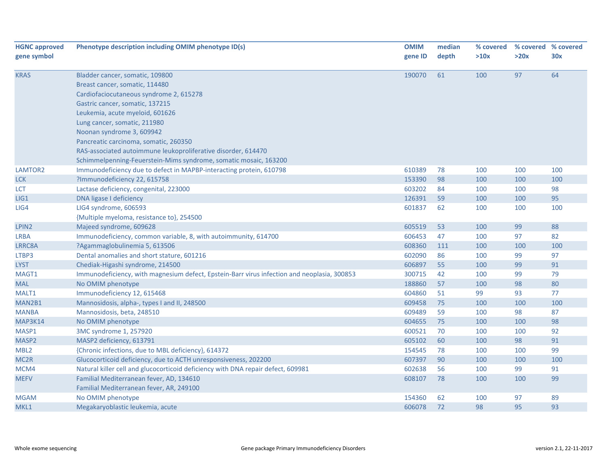| <b>HGNC approved</b> | Phenotype description including OMIM phenotype ID(s)                                        | <b>OMIM</b> | median | % covered |      | % covered % covered |
|----------------------|---------------------------------------------------------------------------------------------|-------------|--------|-----------|------|---------------------|
| gene symbol          |                                                                                             | gene ID     | depth  | >10x      | >20x | 30x                 |
|                      |                                                                                             |             |        |           |      |                     |
| <b>KRAS</b>          | Bladder cancer, somatic, 109800                                                             | 190070      | 61     | 100       | 97   | 64                  |
|                      | Breast cancer, somatic, 114480                                                              |             |        |           |      |                     |
|                      | Cardiofaciocutaneous syndrome 2, 615278                                                     |             |        |           |      |                     |
|                      | Gastric cancer, somatic, 137215                                                             |             |        |           |      |                     |
|                      | Leukemia, acute myeloid, 601626                                                             |             |        |           |      |                     |
|                      | Lung cancer, somatic, 211980                                                                |             |        |           |      |                     |
|                      | Noonan syndrome 3, 609942                                                                   |             |        |           |      |                     |
|                      | Pancreatic carcinoma, somatic, 260350                                                       |             |        |           |      |                     |
|                      | RAS-associated autoimmune leukoproliferative disorder, 614470                               |             |        |           |      |                     |
|                      | Schimmelpenning-Feuerstein-Mims syndrome, somatic mosaic, 163200                            |             |        |           |      |                     |
| LAMTOR2              | Immunodeficiency due to defect in MAPBP-interacting protein, 610798                         | 610389      | 78     | 100       | 100  | 100                 |
| <b>LCK</b>           | ?Immunodeficiency 22, 615758                                                                | 153390      | 98     | 100       | 100  | 100                 |
| <b>LCT</b>           | Lactase deficiency, congenital, 223000                                                      | 603202      | 84     | 100       | 100  | 98                  |
| LIG1                 | DNA ligase I deficiency                                                                     | 126391      | 59     | 100       | 100  | 95                  |
| LIG4                 | LIG4 syndrome, 606593                                                                       | 601837      | 62     | 100       | 100  | 100                 |
|                      | {Multiple myeloma, resistance to}, 254500                                                   |             |        |           |      |                     |
| LPIN <sub>2</sub>    | Majeed syndrome, 609628                                                                     | 605519      | 53     | 100       | 99   | 88                  |
| <b>LRBA</b>          | Immunodeficiency, common variable, 8, with autoimmunity, 614700                             | 606453      | 47     | 100       | 97   | 82                  |
| LRRC8A               | ?Agammaglobulinemia 5, 613506                                                               | 608360      | 111    | 100       | 100  | 100                 |
| LTBP3                | Dental anomalies and short stature, 601216                                                  | 602090      | 86     | 100       | 99   | 97                  |
| <b>LYST</b>          | Chediak-Higashi syndrome, 214500                                                            | 606897      | 55     | 100       | 99   | 91                  |
| MAGT1                | Immunodeficiency, with magnesium defect, Epstein-Barr virus infection and neoplasia, 300853 | 300715      | 42     | 100       | 99   | 79                  |
| <b>MAL</b>           | No OMIM phenotype                                                                           | 188860      | 57     | 100       | 98   | 80                  |
| MALT1                | Immunodeficiency 12, 615468                                                                 | 604860      | 51     | 99        | 93   | 77                  |
| MAN2B1               | Mannosidosis, alpha-, types I and II, 248500                                                | 609458      | 75     | 100       | 100  | 100                 |
| <b>MANBA</b>         | Mannosidosis, beta, 248510                                                                  | 609489      | 59     | 100       | 98   | 87                  |
| MAP3K14              | No OMIM phenotype                                                                           | 604655      | 75     | 100       | 100  | 98                  |
| MASP1                | 3MC syndrome 1, 257920                                                                      | 600521      | 70     | 100       | 100  | 92                  |
| MASP2                | MASP2 deficiency, 613791                                                                    | 605102      | 60     | 100       | 98   | 91                  |
| MBL <sub>2</sub>     | {Chronic infections, due to MBL deficiency}, 614372                                         | 154545      | 78     | 100       | 100  | 99                  |
| MC <sub>2R</sub>     | Glucocorticoid deficiency, due to ACTH unresponsiveness, 202200                             | 607397      | 90     | 100       | 100  | 100                 |
| MCM4                 | Natural killer cell and glucocorticoid deficiency with DNA repair defect, 609981            | 602638      | 56     | 100       | 99   | 91                  |
| <b>MEFV</b>          | Familial Mediterranean fever, AD, 134610                                                    | 608107      | 78     | 100       | 100  | 99                  |
|                      | Familial Mediterranean fever, AR, 249100                                                    |             |        |           |      |                     |
| <b>MGAM</b>          | No OMIM phenotype                                                                           | 154360      | 62     | 100       | 97   | 89                  |
| MKL1                 | Megakaryoblastic leukemia, acute                                                            | 606078      | 72     | 98        | 95   | 93                  |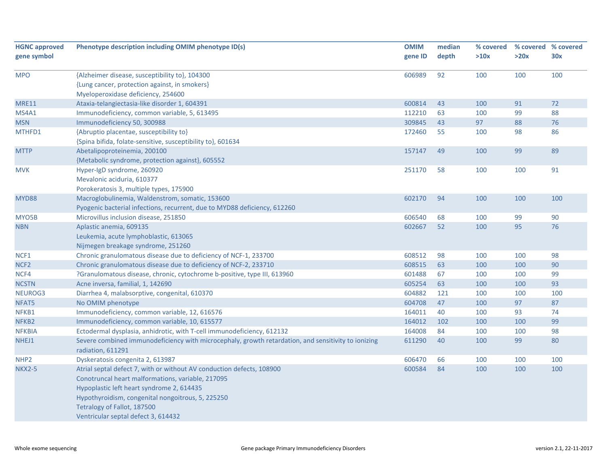| <b>HGNC approved</b> | Phenotype description including OMIM phenotype ID(s)                                                | <b>OMIM</b> | median | % covered |      | % covered % covered |
|----------------------|-----------------------------------------------------------------------------------------------------|-------------|--------|-----------|------|---------------------|
| gene symbol          |                                                                                                     | gene ID     | depth  | >10x      | >20x | 30x                 |
|                      |                                                                                                     |             |        |           |      |                     |
| <b>MPO</b>           | {Alzheimer disease, susceptibility to}, 104300                                                      | 606989      | 92     | 100       | 100  | 100                 |
|                      | {Lung cancer, protection against, in smokers}                                                       |             |        |           |      |                     |
|                      | Myeloperoxidase deficiency, 254600                                                                  |             |        |           |      |                     |
| <b>MRE11</b>         | Ataxia-telangiectasia-like disorder 1, 604391                                                       | 600814      | 43     | 100       | 91   | 72                  |
| MS4A1                | Immunodeficiency, common variable, 5, 613495                                                        | 112210      | 63     | 100       | 99   | 88                  |
| <b>MSN</b>           | Immunodeficiency 50, 300988                                                                         | 309845      | 43     | 97        | 88   | 76                  |
| MTHFD1               | {Abruptio placentae, susceptibility to}                                                             | 172460      | 55     | 100       | 98   | 86                  |
|                      | {Spina bifida, folate-sensitive, susceptibility to}, 601634                                         |             |        |           |      |                     |
| <b>MTTP</b>          | Abetalipoproteinemia, 200100                                                                        | 157147      | 49     | 100       | 99   | 89                  |
|                      | {Metabolic syndrome, protection against}, 605552                                                    |             |        |           |      |                     |
| <b>MVK</b>           | Hyper-IgD syndrome, 260920                                                                          | 251170      | 58     | 100       | 100  | 91                  |
|                      | Mevalonic aciduria, 610377                                                                          |             |        |           |      |                     |
|                      | Porokeratosis 3, multiple types, 175900                                                             |             |        |           |      |                     |
| MYD88                | Macroglobulinemia, Waldenstrom, somatic, 153600                                                     | 602170      | 94     | 100       | 100  | 100                 |
|                      | Pyogenic bacterial infections, recurrent, due to MYD88 deficiency, 612260                           |             |        |           |      |                     |
| MYO5B                | Microvillus inclusion disease, 251850                                                               | 606540      | 68     | 100       | 99   | 90                  |
| <b>NBN</b>           | Aplastic anemia, 609135                                                                             | 602667      | 52     | 100       | 95   | 76                  |
|                      | Leukemia, acute lymphoblastic, 613065                                                               |             |        |           |      |                     |
|                      | Nijmegen breakage syndrome, 251260                                                                  |             |        |           |      |                     |
| NCF1                 | Chronic granulomatous disease due to deficiency of NCF-1, 233700                                    | 608512      | 98     | 100       | 100  | 98                  |
| NCF <sub>2</sub>     | Chronic granulomatous disease due to deficiency of NCF-2, 233710                                    | 608515      | 63     | 100       | 100  | 90                  |
| NCF4                 | ?Granulomatous disease, chronic, cytochrome b-positive, type III, 613960                            | 601488      | 67     | 100       | 100  | 99                  |
| <b>NCSTN</b>         | Acne inversa, familial, 1, 142690                                                                   | 605254      | 63     | 100       | 100  | 93                  |
| NEUROG3              | Diarrhea 4, malabsorptive, congenital, 610370                                                       | 604882      | 121    | 100       | 100  | 100                 |
| NFAT5                | No OMIM phenotype                                                                                   | 604708      | 47     | 100       | 97   | 87                  |
| NFKB1                | Immunodeficiency, common variable, 12, 616576                                                       | 164011      | 40     | 100       | 93   | 74                  |
| NFKB <sub>2</sub>    | Immunodeficiency, common variable, 10, 615577                                                       | 164012      | 102    | 100       | 100  | 99                  |
| <b>NFKBIA</b>        | Ectodermal dysplasia, anhidrotic, with T-cell immunodeficiency, 612132                              | 164008      | 84     | 100       | 100  | 98                  |
| NHEJ1                | Severe combined immunodeficiency with microcephaly, growth retardation, and sensitivity to ionizing | 611290      | 40     | 100       | 99   | 80                  |
|                      | radiation, 611291                                                                                   |             |        |           |      |                     |
| NHP <sub>2</sub>     | Dyskeratosis congenita 2, 613987                                                                    | 606470      | 66     | 100       | 100  | 100                 |
| <b>NKX2-5</b>        | Atrial septal defect 7, with or without AV conduction defects, 108900                               | 600584      | 84     | 100       | 100  | 100                 |
|                      | Conotruncal heart malformations, variable, 217095                                                   |             |        |           |      |                     |
|                      | Hypoplastic left heart syndrome 2, 614435                                                           |             |        |           |      |                     |
|                      | Hypothyroidism, congenital nongoitrous, 5, 225250                                                   |             |        |           |      |                     |
|                      | Tetralogy of Fallot, 187500                                                                         |             |        |           |      |                     |
|                      | Ventricular septal defect 3, 614432                                                                 |             |        |           |      |                     |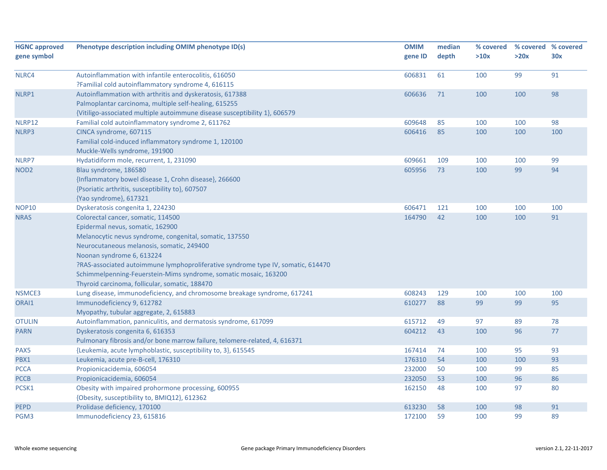| <b>HGNC approved</b> | Phenotype description including OMIM phenotype ID(s)                             | <b>OMIM</b> | median | % covered |      | % covered % covered |
|----------------------|----------------------------------------------------------------------------------|-------------|--------|-----------|------|---------------------|
| gene symbol          |                                                                                  | gene ID     | depth  | >10x      | >20x | 30x                 |
| NLRC4                | Autoinflammation with infantile enterocolitis, 616050                            | 606831      | 61     | 100       | 99   | 91                  |
|                      | ?Familial cold autoinflammatory syndrome 4, 616115                               |             |        |           |      |                     |
| NLRP1                | Autoinflammation with arthritis and dyskeratosis, 617388                         | 606636      | 71     | 100       | 100  | 98                  |
|                      | Palmoplantar carcinoma, multiple self-healing, 615255                            |             |        |           |      |                     |
|                      | {Vitiligo-associated multiple autoimmune disease susceptibility 1}, 606579       |             |        |           |      |                     |
| NLRP12               | Familial cold autoinflammatory syndrome 2, 611762                                | 609648      | 85     | 100       | 100  | 98                  |
| NLRP3                | CINCA syndrome, 607115                                                           | 606416      | 85     | 100       | 100  | 100                 |
|                      | Familial cold-induced inflammatory syndrome 1, 120100                            |             |        |           |      |                     |
|                      | Muckle-Wells syndrome, 191900                                                    |             |        |           |      |                     |
| NLRP7                | Hydatidiform mole, recurrent, 1, 231090                                          | 609661      | 109    | 100       | 100  | 99                  |
| NOD <sub>2</sub>     | Blau syndrome, 186580                                                            | 605956      | 73     | 100       | 99   | 94                  |
|                      | {Inflammatory bowel disease 1, Crohn disease}, 266600                            |             |        |           |      |                     |
|                      | {Psoriatic arthritis, susceptibility to}, 607507                                 |             |        |           |      |                     |
|                      | {Yao syndrome}, 617321                                                           |             |        |           |      |                     |
| <b>NOP10</b>         | Dyskeratosis congenita 1, 224230                                                 | 606471      | 121    | 100       | 100  | 100                 |
| <b>NRAS</b>          | Colorectal cancer, somatic, 114500                                               | 164790      | 42     | 100       | 100  | 91                  |
|                      | Epidermal nevus, somatic, 162900                                                 |             |        |           |      |                     |
|                      | Melanocytic nevus syndrome, congenital, somatic, 137550                          |             |        |           |      |                     |
|                      | Neurocutaneous melanosis, somatic, 249400                                        |             |        |           |      |                     |
|                      | Noonan syndrome 6, 613224                                                        |             |        |           |      |                     |
|                      | ?RAS-associated autoimmune lymphoproliferative syndrome type IV, somatic, 614470 |             |        |           |      |                     |
|                      | Schimmelpenning-Feuerstein-Mims syndrome, somatic mosaic, 163200                 |             |        |           |      |                     |
|                      | Thyroid carcinoma, follicular, somatic, 188470                                   |             |        |           |      |                     |
| NSMCE3               | Lung disease, immunodeficiency, and chromosome breakage syndrome, 617241         | 608243      | 129    | 100       | 100  | 100                 |
| ORAI1                | Immunodeficiency 9, 612782                                                       | 610277      | 88     | 99        | 99   | 95                  |
|                      | Myopathy, tubular aggregate, 2, 615883                                           |             |        |           |      |                     |
| <b>OTULIN</b>        | Autoinflammation, panniculitis, and dermatosis syndrome, 617099                  | 615712      | 49     | 97        | 89   | 78                  |
| <b>PARN</b>          | Dyskeratosis congenita 6, 616353                                                 | 604212      | 43     | 100       | 96   | 77                  |
|                      | Pulmonary fibrosis and/or bone marrow failure, telomere-related, 4, 616371       |             |        |           |      |                     |
| PAX5                 | {Leukemia, acute lymphoblastic, susceptibility to, 3}, 615545                    | 167414      | 74     | 100       | 95   | 93                  |
| PBX1                 | Leukemia, acute pre-B-cell, 176310                                               | 176310      | 54     | 100       | 100  | 93                  |
| <b>PCCA</b>          | Propionicacidemia, 606054                                                        | 232000      | 50     | 100       | 99   | 85                  |
| <b>PCCB</b>          | Propionicacidemia, 606054                                                        | 232050      | 53     | 100       | 96   | 86                  |
| PCSK1                | Obesity with impaired prohormone processing, 600955                              | 162150      | 48     | 100       | 97   | 80                  |
|                      | {Obesity, susceptibility to, BMIQ12}, 612362                                     |             |        |           |      |                     |
| <b>PEPD</b>          | Prolidase deficiency, 170100                                                     | 613230      | 58     | 100       | 98   | 91                  |
| PGM3                 | Immunodeficiency 23, 615816                                                      | 172100      | 59     | 100       | 99   | 89                  |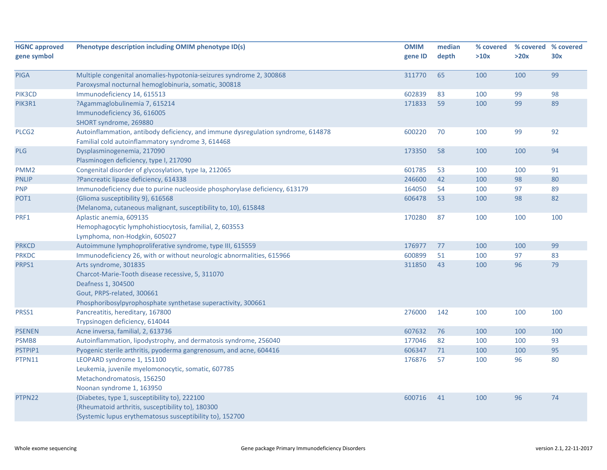| <b>HGNC approved</b> | Phenotype description including OMIM phenotype ID(s)                             | <b>OMIM</b> | median | % covered | % covered % covered |     |
|----------------------|----------------------------------------------------------------------------------|-------------|--------|-----------|---------------------|-----|
| gene symbol          |                                                                                  | gene ID     | depth  | >10x      | >20x                | 30x |
|                      |                                                                                  |             |        |           |                     |     |
| <b>PIGA</b>          | Multiple congenital anomalies-hypotonia-seizures syndrome 2, 300868              | 311770      | 65     | 100       | 100                 | 99  |
|                      | Paroxysmal nocturnal hemoglobinuria, somatic, 300818                             |             |        |           |                     |     |
| PIK3CD               | Immunodeficiency 14, 615513                                                      | 602839      | 83     | 100       | 99                  | 98  |
| PIK3R1               | ?Agammaglobulinemia 7, 615214                                                    | 171833      | 59     | 100       | 99                  | 89  |
|                      | Immunodeficiency 36, 616005                                                      |             |        |           |                     |     |
|                      | SHORT syndrome, 269880                                                           |             |        |           |                     |     |
| PLCG <sub>2</sub>    | Autoinflammation, antibody deficiency, and immune dysregulation syndrome, 614878 | 600220      | 70     | 100       | 99                  | 92  |
|                      | Familial cold autoinflammatory syndrome 3, 614468                                |             |        |           |                     |     |
| PLG                  | Dysplasminogenemia, 217090                                                       | 173350      | 58     | 100       | 100                 | 94  |
|                      | Plasminogen deficiency, type I, 217090                                           |             |        |           |                     |     |
| PMM <sub>2</sub>     | Congenital disorder of glycosylation, type Ia, 212065                            | 601785      | 53     | 100       | 100                 | 91  |
| <b>PNLIP</b>         | ?Pancreatic lipase deficiency, 614338                                            | 246600      | 42     | 100       | 98                  | 80  |
| <b>PNP</b>           | Immunodeficiency due to purine nucleoside phosphorylase deficiency, 613179       | 164050      | 54     | 100       | 97                  | 89  |
| POT1                 | {Glioma susceptibility 9}, 616568                                                | 606478      | 53     | 100       | 98                  | 82  |
|                      | {Melanoma, cutaneous malignant, susceptibility to, 10}, 615848                   |             |        |           |                     |     |
| PRF1                 | Aplastic anemia, 609135                                                          | 170280      | 87     | 100       | 100                 | 100 |
|                      | Hemophagocytic lymphohistiocytosis, familial, 2, 603553                          |             |        |           |                     |     |
|                      | Lymphoma, non-Hodgkin, 605027                                                    |             |        |           |                     |     |
| <b>PRKCD</b>         | Autoimmune lymphoproliferative syndrome, type III, 615559                        | 176977      | 77     | 100       | 100                 | 99  |
| <b>PRKDC</b>         | Immunodeficiency 26, with or without neurologic abnormalities, 615966            | 600899      | 51     | 100       | 97                  | 83  |
| PRPS1                | Arts syndrome, 301835                                                            | 311850      | 43     | 100       | 96                  | 79  |
|                      | Charcot-Marie-Tooth disease recessive, 5, 311070                                 |             |        |           |                     |     |
|                      | Deafness 1, 304500                                                               |             |        |           |                     |     |
|                      | Gout, PRPS-related, 300661                                                       |             |        |           |                     |     |
|                      | Phosphoribosylpyrophosphate synthetase superactivity, 300661                     |             |        |           |                     |     |
| PRSS1                | Pancreatitis, hereditary, 167800                                                 | 276000      | 142    | 100       | 100                 | 100 |
|                      | Trypsinogen deficiency, 614044                                                   |             |        |           |                     |     |
| <b>PSENEN</b>        | Acne inversa, familial, 2, 613736                                                | 607632      | 76     | 100       | 100                 | 100 |
| PSMB8                | Autoinflammation, lipodystrophy, and dermatosis syndrome, 256040                 | 177046      | 82     | 100       | 100                 | 93  |
| PSTPIP1              | Pyogenic sterile arthritis, pyoderma gangrenosum, and acne, 604416               | 606347      | 71     | 100       | 100                 | 95  |
| PTPN11               | LEOPARD syndrome 1, 151100                                                       | 176876      | 57     | 100       | 96                  | 80  |
|                      | Leukemia, juvenile myelomonocytic, somatic, 607785                               |             |        |           |                     |     |
|                      | Metachondromatosis, 156250                                                       |             |        |           |                     |     |
|                      | Noonan syndrome 1, 163950                                                        |             |        |           |                     |     |
| PTPN22               | {Diabetes, type 1, susceptibility to}, 222100                                    | 600716      | 41     | 100       | 96                  | 74  |
|                      | {Rheumatoid arthritis, susceptibility to}, 180300                                |             |        |           |                     |     |
|                      | {Systemic lupus erythematosus susceptibility to}, 152700                         |             |        |           |                     |     |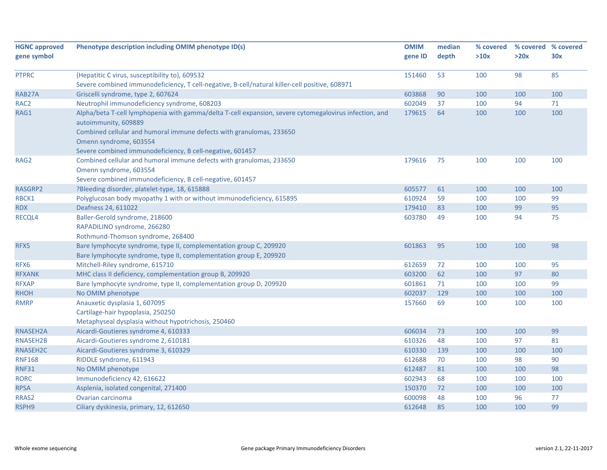| <b>HGNC approved</b> | Phenotype description including OMIM phenotype ID(s)                                                   | <b>OMIM</b> | median | % covered | % covered % covered |     |
|----------------------|--------------------------------------------------------------------------------------------------------|-------------|--------|-----------|---------------------|-----|
| gene symbol          |                                                                                                        | gene ID     | depth  | >10x      | >20x                | 30x |
|                      |                                                                                                        |             |        |           |                     |     |
| <b>PTPRC</b>         | {Hepatitic C virus, susceptibility to}, 609532                                                         | 151460      | 53     | 100       | 98                  | 85  |
|                      | Severe combined immunodeficiency, T cell-negative, B-cell/natural killer-cell positive, 608971         |             |        |           |                     |     |
| RAB27A               | Griscelli syndrome, type 2, 607624                                                                     | 603868      | 90     | 100       | 100                 | 100 |
| RAC <sub>2</sub>     | Neutrophil immunodeficiency syndrome, 608203                                                           | 602049      | 37     | 100       | 94                  | 71  |
| RAG1                 | Alpha/beta T-cell lymphopenia with gamma/delta T-cell expansion, severe cytomegalovirus infection, and | 179615      | 64     | 100       | 100                 | 100 |
|                      | autoimmunity, 609889                                                                                   |             |        |           |                     |     |
|                      | Combined cellular and humoral immune defects with granulomas, 233650                                   |             |        |           |                     |     |
|                      | Omenn syndrome, 603554                                                                                 |             |        |           |                     |     |
|                      | Severe combined immunodeficiency, B cell-negative, 601457                                              |             |        |           |                     |     |
| RAG2                 | Combined cellular and humoral immune defects with granulomas, 233650                                   | 179616      | 75     | 100       | 100                 | 100 |
|                      | Omenn syndrome, 603554                                                                                 |             |        |           |                     |     |
|                      | Severe combined immunodeficiency, B cell-negative, 601457                                              |             |        |           |                     |     |
| RASGRP2              | ?Bleeding disorder, platelet-type, 18, 615888                                                          | 605577      | 61     | 100       | 100                 | 100 |
| RBCK1                | Polyglucosan body myopathy 1 with or without immunodeficiency, 615895                                  | 610924      | 59     | 100       | 100                 | 99  |
| <b>RDX</b>           | Deafness 24, 611022                                                                                    | 179410      | 83     | 100       | 99                  | 95  |
| RECQL4               | Baller-Gerold syndrome, 218600                                                                         | 603780      | 49     | 100       | 94                  | 75  |
|                      | RAPADILINO syndrome, 266280                                                                            |             |        |           |                     |     |
|                      | Rothmund-Thomson syndrome, 268400                                                                      |             |        |           |                     |     |
| RFX5                 | Bare lymphocyte syndrome, type II, complementation group C, 209920                                     | 601863      | 95     | 100       | 100                 | 98  |
|                      | Bare lymphocyte syndrome, type II, complementation group E, 209920                                     |             |        |           |                     |     |
| RFX6                 | Mitchell-Riley syndrome, 615710                                                                        | 612659      | 72     | 100       | 100                 | 95  |
| <b>RFXANK</b>        | MHC class II deficiency, complementation group B, 209920                                               | 603200      | 62     | 100       | 97                  | 80  |
| <b>RFXAP</b>         | Bare lymphocyte syndrome, type II, complementation group D, 209920                                     | 601861      | 71     | 100       | 100                 | 99  |
| <b>RHOH</b>          | No OMIM phenotype                                                                                      | 602037      | 129    | 100       | 100                 | 100 |
| <b>RMRP</b>          | Anauxetic dysplasia 1, 607095                                                                          | 157660      | 69     | 100       | 100                 | 100 |
|                      | Cartilage-hair hypoplasia, 250250                                                                      |             |        |           |                     |     |
|                      | Metaphyseal dysplasia without hypotrichosis, 250460                                                    |             |        |           |                     |     |
| RNASEH2A             | Aicardi-Goutieres syndrome 4, 610333                                                                   | 606034      | 73     | 100       | 100                 | 99  |
| RNASEH2B             | Aicardi-Goutieres syndrome 2, 610181                                                                   | 610326      | 48     | 100       | 97                  | 81  |
| RNASEH2C             | Aicardi-Goutieres syndrome 3, 610329                                                                   | 610330      | 139    | 100       | 100                 | 100 |
| <b>RNF168</b>        | RIDDLE syndrome, 611943                                                                                | 612688      | 70     | 100       | 98                  | 90  |
| <b>RNF31</b>         | No OMIM phenotype                                                                                      | 612487      | 81     | 100       | 100                 | 98  |
| <b>RORC</b>          | Immunodeficiency 42, 616622                                                                            | 602943      | 68     | 100       | 100                 | 100 |
| <b>RPSA</b>          | Asplenia, isolated congenital, 271400                                                                  | 150370      | 72     | 100       | 100                 | 100 |
| RRAS2                | Ovarian carcinoma                                                                                      | 600098      | 48     | 100       | 96                  | 77  |
| RSPH9                | Ciliary dyskinesia, primary, 12, 612650                                                                | 612648      | 85     | 100       | 100                 | 99  |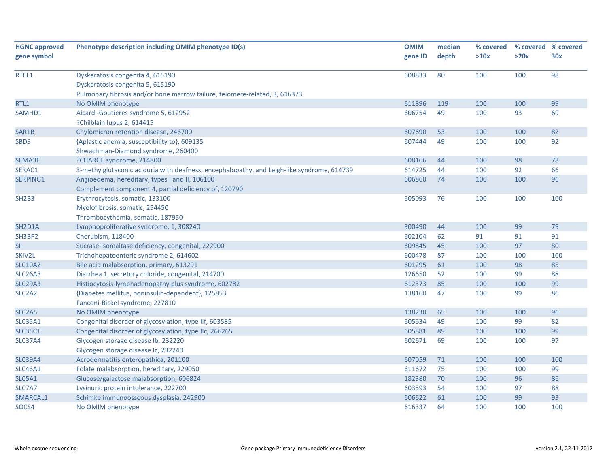| <b>HGNC approved</b>             | Phenotype description including OMIM phenotype ID(s)                                       | <b>OMIM</b> | median | % covered |      | % covered % covered |
|----------------------------------|--------------------------------------------------------------------------------------------|-------------|--------|-----------|------|---------------------|
| gene symbol                      |                                                                                            | gene ID     | depth  | >10x      | >20x | 30x                 |
|                                  |                                                                                            |             |        |           |      |                     |
| RTEL1                            | Dyskeratosis congenita 4, 615190                                                           | 608833      | 80     | 100       | 100  | 98                  |
|                                  | Dyskeratosis congenita 5, 615190                                                           |             |        |           |      |                     |
|                                  | Pulmonary fibrosis and/or bone marrow failure, telomere-related, 3, 616373                 |             |        |           |      |                     |
| RTL1                             | No OMIM phenotype                                                                          | 611896      | 119    | 100       | 100  | 99                  |
| SAMHD1                           | Aicardi-Goutieres syndrome 5, 612952                                                       | 606754      | 49     | 100       | 93   | 69                  |
|                                  | ?Chilblain lupus 2, 614415                                                                 |             |        |           |      |                     |
| SAR1B                            | Chylomicron retention disease, 246700                                                      | 607690      | 53     | 100       | 100  | 82                  |
| <b>SBDS</b>                      | {Aplastic anemia, susceptibility to}, 609135                                               | 607444      | 49     | 100       | 100  | 92                  |
|                                  | Shwachman-Diamond syndrome, 260400                                                         |             |        |           |      |                     |
| SEMA3E                           | ?CHARGE syndrome, 214800                                                                   | 608166      | 44     | 100       | 98   | 78                  |
| SERAC1                           | 3-methylglutaconic aciduria with deafness, encephalopathy, and Leigh-like syndrome, 614739 | 614725      | 44     | 100       | 92   | 66                  |
| SERPING1                         | Angioedema, hereditary, types I and II, 106100                                             | 606860      | 74     | 100       | 100  | 96                  |
|                                  | Complement component 4, partial deficiency of, 120790                                      |             |        |           |      |                     |
| SH <sub>2</sub> B <sub>3</sub>   | Erythrocytosis, somatic, 133100                                                            | 605093      | 76     | 100       | 100  | 100                 |
|                                  | Myelofibrosis, somatic, 254450                                                             |             |        |           |      |                     |
|                                  | Thrombocythemia, somatic, 187950                                                           |             |        |           |      |                     |
| SH <sub>2</sub> D <sub>1</sub> A | Lymphoproliferative syndrome, 1, 308240                                                    | 300490      | 44     | 100       | 99   | 79                  |
| SH3BP2                           | Cherubism, 118400                                                                          | 602104      | 62     | 91        | 91   | 91                  |
| SI                               | Sucrase-isomaltase deficiency, congenital, 222900                                          | 609845      | 45     | 100       | 97   | 80                  |
| SKIV2L                           | Trichohepatoenteric syndrome 2, 614602                                                     | 600478      | 87     | 100       | 100  | 100                 |
| <b>SLC10A2</b>                   | Bile acid malabsorption, primary, 613291                                                   | 601295      | 61     | 100       | 98   | 85                  |
| <b>SLC26A3</b>                   | Diarrhea 1, secretory chloride, congenital, 214700                                         | 126650      | 52     | 100       | 99   | 88                  |
| <b>SLC29A3</b>                   | Histiocytosis-lymphadenopathy plus syndrome, 602782                                        | 612373      | 85     | 100       | 100  | 99                  |
| SLC <sub>2</sub> A <sub>2</sub>  | {Diabetes mellitus, noninsulin-dependent}, 125853                                          | 138160      | 47     | 100       | 99   | 86                  |
|                                  | Fanconi-Bickel syndrome, 227810                                                            |             |        |           |      |                     |
| SLC <sub>2</sub> A <sub>5</sub>  | No OMIM phenotype                                                                          | 138230      | 65     | 100       | 100  | 96                  |
| <b>SLC35A1</b>                   | Congenital disorder of glycosylation, type IIf, 603585                                     | 605634      | 49     | 100       | 99   | 82                  |
| <b>SLC35C1</b>                   | Congenital disorder of glycosylation, type IIc, 266265                                     | 605881      | 89     | 100       | 100  | 99                  |
| <b>SLC37A4</b>                   | Glycogen storage disease Ib, 232220                                                        | 602671      | 69     | 100       | 100  | 97                  |
|                                  | Glycogen storage disease Ic, 232240                                                        |             |        |           |      |                     |
| <b>SLC39A4</b>                   | Acrodermatitis enteropathica, 201100                                                       | 607059      | 71     | 100       | 100  | 100                 |
| <b>SLC46A1</b>                   | Folate malabsorption, hereditary, 229050                                                   | 611672      | 75     | 100       | 100  | 99                  |
| SLC5A1                           | Glucose/galactose malabsorption, 606824                                                    | 182380      | 70     | 100       | 96   | 86                  |
| SLC7A7                           | Lysinuric protein intolerance, 222700                                                      | 603593      | 54     | 100       | 97   | 88                  |
| SMARCAL1                         | Schimke immunoosseous dysplasia, 242900                                                    | 606622      | 61     | 100       | 99   | 93                  |
| SOCS4                            | No OMIM phenotype                                                                          | 616337      | 64     | 100       | 100  | 100                 |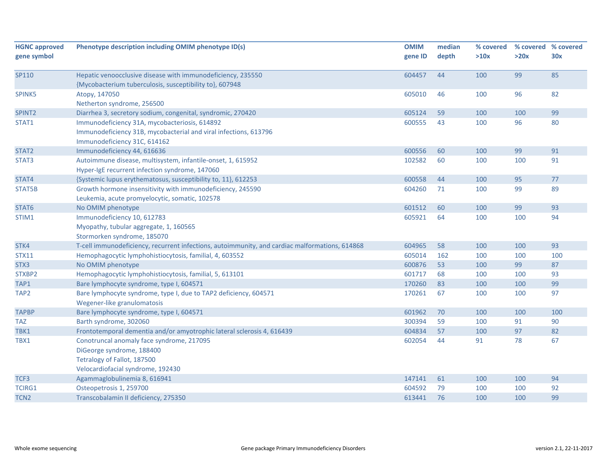| <b>HGNC approved</b> | Phenotype description including OMIM phenotype ID(s)                                           | <b>OMIM</b> | median | % covered | % covered % covered |     |
|----------------------|------------------------------------------------------------------------------------------------|-------------|--------|-----------|---------------------|-----|
| gene symbol          |                                                                                                | gene ID     | depth  | >10x      | >20x                | 30x |
|                      |                                                                                                |             |        |           |                     |     |
| SP110                | Hepatic venoocclusive disease with immunodeficiency, 235550                                    | 604457      | 44     | 100       | 99                  | 85  |
|                      | {Mycobacterium tuberculosis, susceptibility to}, 607948                                        |             |        |           |                     |     |
| SPINK5               | Atopy, 147050                                                                                  | 605010      | 46     | 100       | 96                  | 82  |
|                      | Netherton syndrome, 256500                                                                     |             |        |           |                     |     |
| SPINT <sub>2</sub>   | Diarrhea 3, secretory sodium, congenital, syndromic, 270420                                    | 605124      | 59     | 100       | 100                 | 99  |
| STAT1                | Immunodeficiency 31A, mycobacteriosis, 614892                                                  | 600555      | 43     | 100       | 96                  | 80  |
|                      | Immunodeficiency 31B, mycobacterial and viral infections, 613796                               |             |        |           |                     |     |
|                      | Immunodeficiency 31C, 614162                                                                   |             |        |           |                     |     |
| STAT2                | Immunodeficiency 44, 616636                                                                    | 600556      | 60     | 100       | 99                  | 91  |
| STAT3                | Autoimmune disease, multisystem, infantile-onset, 1, 615952                                    | 102582      | 60     | 100       | 100                 | 91  |
|                      | Hyper-IgE recurrent infection syndrome, 147060                                                 |             |        |           |                     |     |
| STAT4                | {Systemic lupus erythematosus, susceptibility to, 11}, 612253                                  | 600558      | 44     | 100       | 95                  | 77  |
| STAT5B               | Growth hormone insensitivity with immunodeficiency, 245590                                     | 604260      | 71     | 100       | 99                  | 89  |
|                      | Leukemia, acute promyelocytic, somatic, 102578                                                 |             |        |           |                     |     |
| STAT6                | No OMIM phenotype                                                                              | 601512      | 60     | 100       | 99                  | 93  |
| STIM1                | Immunodeficiency 10, 612783                                                                    | 605921      | 64     | 100       | 100                 | 94  |
|                      | Myopathy, tubular aggregate, 1, 160565                                                         |             |        |           |                     |     |
|                      | Stormorken syndrome, 185070                                                                    |             |        |           |                     |     |
| STK4                 | T-cell immunodeficiency, recurrent infections, autoimmunity, and cardiac malformations, 614868 | 604965      | 58     | 100       | 100                 | 93  |
| <b>STX11</b>         | Hemophagocytic lymphohistiocytosis, familial, 4, 603552                                        | 605014      | 162    | 100       | 100                 | 100 |
| STX3                 | No OMIM phenotype                                                                              | 600876      | 53     | 100       | 99                  | 87  |
| STXBP2               | Hemophagocytic lymphohistiocytosis, familial, 5, 613101                                        | 601717      | 68     | 100       | 100                 | 93  |
| TAP1                 | Bare lymphocyte syndrome, type I, 604571                                                       | 170260      | 83     | 100       | 100                 | 99  |
| TAP2                 | Bare lymphocyte syndrome, type I, due to TAP2 deficiency, 604571                               | 170261      | 67     | 100       | 100                 | 97  |
|                      | Wegener-like granulomatosis                                                                    |             |        |           |                     |     |
| <b>TAPBP</b>         | Bare lymphocyte syndrome, type I, 604571                                                       | 601962      | 70     | 100       | 100                 | 100 |
| <b>TAZ</b>           | Barth syndrome, 302060                                                                         | 300394      | 59     | 100       | 91                  | 90  |
| TBK1                 | Frontotemporal dementia and/or amyotrophic lateral sclerosis 4, 616439                         | 604834      | 57     | 100       | 97                  | 82  |
| TBX1                 | Conotruncal anomaly face syndrome, 217095                                                      | 602054      | 44     | 91        | 78                  | 67  |
|                      | DiGeorge syndrome, 188400                                                                      |             |        |           |                     |     |
|                      | Tetralogy of Fallot, 187500                                                                    |             |        |           |                     |     |
|                      | Velocardiofacial syndrome, 192430                                                              |             |        |           |                     |     |
| TCF3                 | Agammaglobulinemia 8, 616941                                                                   | 147141      | 61     | 100       | 100                 | 94  |
| TCIRG1               | Osteopetrosis 1, 259700                                                                        | 604592      | 79     | 100       | 100                 | 92  |
| TCN <sub>2</sub>     | Transcobalamin II deficiency, 275350                                                           | 613441      | 76     | 100       | 100                 | 99  |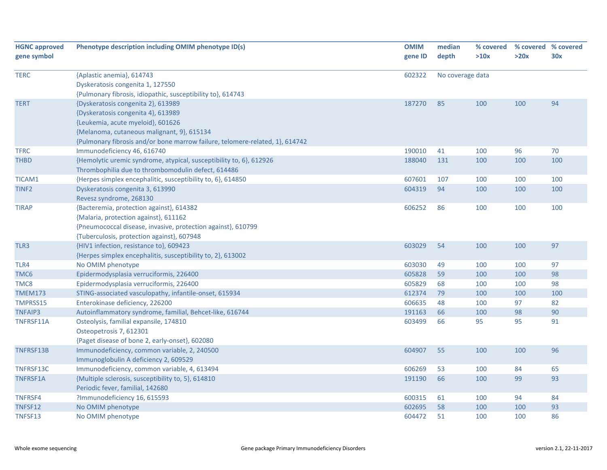| <b>HGNC approved</b> | Phenotype description including OMIM phenotype ID(s)                         | <b>OMIM</b> | median           | % covered | % covered % covered |     |
|----------------------|------------------------------------------------------------------------------|-------------|------------------|-----------|---------------------|-----|
| gene symbol          |                                                                              | gene ID     | depth            | >10x      | >20x                | 30x |
|                      |                                                                              |             |                  |           |                     |     |
| <b>TERC</b>          | {Aplastic anemia}, 614743                                                    | 602322      | No coverage data |           |                     |     |
|                      | Dyskeratosis congenita 1, 127550                                             |             |                  |           |                     |     |
|                      | {Pulmonary fibrosis, idiopathic, susceptibility to}, 614743                  |             |                  |           |                     |     |
| <b>TERT</b>          | {Dyskeratosis congenita 2}, 613989                                           | 187270      | 85               | 100       | 100                 | 94  |
|                      | {Dyskeratosis congenita 4}, 613989                                           |             |                  |           |                     |     |
|                      | {Leukemia, acute myeloid}, 601626                                            |             |                  |           |                     |     |
|                      | {Melanoma, cutaneous malignant, 9}, 615134                                   |             |                  |           |                     |     |
|                      | {Pulmonary fibrosis and/or bone marrow failure, telomere-related, 1}, 614742 |             |                  |           |                     |     |
| <b>TFRC</b>          | Immunodeficiency 46, 616740                                                  | 190010      | 41               | 100       | 96                  | 70  |
| <b>THBD</b>          | {Hemolytic uremic syndrome, atypical, susceptibility to, 6}, 612926          | 188040      | 131              | 100       | 100                 | 100 |
|                      | Thrombophilia due to thrombomodulin defect, 614486                           |             |                  |           |                     |     |
| <b>TICAM1</b>        | {Herpes simplex encephalitic, susceptibility to, 6}, 614850                  | 607601      | 107              | 100       | 100                 | 100 |
| TINF <sub>2</sub>    | Dyskeratosis congenita 3, 613990                                             | 604319      | 94               | 100       | 100                 | 100 |
|                      | Revesz syndrome, 268130                                                      |             |                  |           |                     |     |
| <b>TIRAP</b>         | {Bacteremia, protection against}, 614382                                     | 606252      | 86               | 100       | 100                 | 100 |
|                      | {Malaria, protection against}, 611162                                        |             |                  |           |                     |     |
|                      | {Pneumococcal disease, invasive, protection against}, 610799                 |             |                  |           |                     |     |
|                      | {Tuberculosis, protection against}, 607948                                   |             |                  |           |                     |     |
| TLR3                 | {HIV1 infection, resistance to}, 609423                                      | 603029      | 54               | 100       | 100                 | 97  |
|                      | {Herpes simplex encephalitis, susceptibility to, 2}, 613002                  |             |                  |           |                     |     |
| TLR4                 | No OMIM phenotype                                                            | 603030      | 49               | 100       | 100                 | 97  |
| TMC6                 | Epidermodysplasia verruciformis, 226400                                      | 605828      | 59               | 100       | 100                 | 98  |
| TMC8                 | Epidermodysplasia verruciformis, 226400                                      | 605829      | 68               | 100       | 100                 | 98  |
| <b>TMEM173</b>       | STING-associated vasculopathy, infantile-onset, 615934                       | 612374      | 79               | 100       | 100                 | 100 |
| TMPRSS15             | Enterokinase deficiency, 226200                                              | 606635      | 48               | 100       | 97                  | 82  |
| <b>TNFAIP3</b>       | Autoinflammatory syndrome, familial, Behcet-like, 616744                     | 191163      | 66               | 100       | 98                  | 90  |
| TNFRSF11A            | Osteolysis, familial expansile, 174810                                       | 603499      | 66               | 95        | 95                  | 91  |
|                      | Osteopetrosis 7, 612301                                                      |             |                  |           |                     |     |
|                      | {Paget disease of bone 2, early-onset}, 602080                               |             |                  |           |                     |     |
| TNFRSF13B            | Immunodeficiency, common variable, 2, 240500                                 | 604907      | 55               | 100       | 100                 | 96  |
|                      | Immunoglobulin A deficiency 2, 609529                                        |             |                  |           |                     |     |
| TNFRSF13C            | Immunodeficiency, common variable, 4, 613494                                 | 606269      | 53               | 100       | 84                  | 65  |
| TNFRSF1A             | {Multiple sclerosis, susceptibility to, 5}, 614810                           | 191190      | 66               | 100       | 99                  | 93  |
|                      | Periodic fever, familial, 142680                                             |             |                  |           |                     |     |
| <b>TNFRSF4</b>       | ?Immunodeficiency 16, 615593                                                 | 600315      | 61               | 100       | 94                  | 84  |
| TNFSF12              | No OMIM phenotype                                                            | 602695      | 58               | 100       | 100                 | 93  |
| TNFSF13              | No OMIM phenotype                                                            | 604472      | 51               | 100       | 100                 | 86  |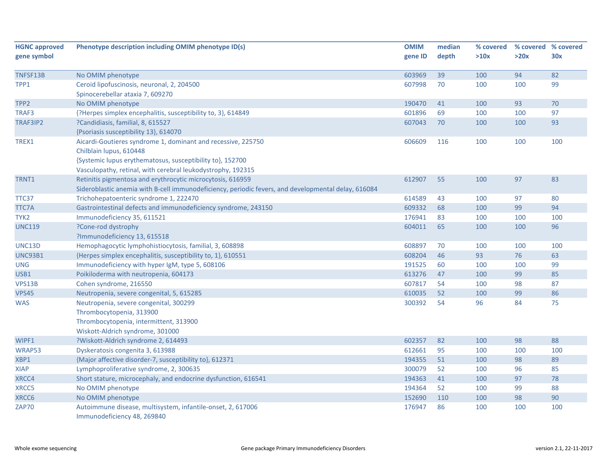| <b>HGNC approved</b> | Phenotype description including OMIM phenotype ID(s)                                                | <b>OMIM</b> | median | % covered |      | % covered % covered |
|----------------------|-----------------------------------------------------------------------------------------------------|-------------|--------|-----------|------|---------------------|
| gene symbol          |                                                                                                     | gene ID     | depth  | >10x      | >20x | 30x                 |
|                      |                                                                                                     |             |        |           |      |                     |
| TNFSF13B             | No OMIM phenotype                                                                                   | 603969      | 39     | 100       | 94   | 82                  |
| TPP1                 | Ceroid lipofuscinosis, neuronal, 2, 204500                                                          | 607998      | 70     | 100       | 100  | 99                  |
|                      | Spinocerebellar ataxia 7, 609270                                                                    |             |        |           |      |                     |
| TPP <sub>2</sub>     | No OMIM phenotype                                                                                   | 190470      | 41     | 100       | 93   | 70                  |
| TRAF3                | {?Herpes simplex encephalitis, susceptibility to, 3}, 614849                                        | 601896      | 69     | 100       | 100  | 97                  |
| TRAF3IP2             | ?Candidiasis, familial, 8, 615527                                                                   | 607043      | 70     | 100       | 100  | 93                  |
|                      | {Psoriasis susceptibility 13}, 614070                                                               |             |        |           |      |                     |
| TREX1                | Aicardi-Goutieres syndrome 1, dominant and recessive, 225750                                        | 606609      | 116    | 100       | 100  | 100                 |
|                      | Chilblain lupus, 610448                                                                             |             |        |           |      |                     |
|                      | {Systemic lupus erythematosus, susceptibility to}, 152700                                           |             |        |           |      |                     |
|                      | Vasculopathy, retinal, with cerebral leukodystrophy, 192315                                         |             |        |           |      |                     |
| TRNT1                | Retinitis pigmentosa and erythrocytic microcytosis, 616959                                          | 612907      | 55     | 100       | 97   | 83                  |
|                      | Sideroblastic anemia with B-cell immunodeficiency, periodic fevers, and developmental delay, 616084 |             |        |           |      |                     |
| TTC37                | Trichohepatoenteric syndrome 1, 222470                                                              | 614589      | 43     | 100       | 97   | 80                  |
| <b>TTC7A</b>         | Gastrointestinal defects and immunodeficiency syndrome, 243150                                      | 609332      | 68     | 100       | 99   | 94                  |
| TYK <sub>2</sub>     | Immunodeficiency 35, 611521                                                                         | 176941      | 83     | 100       | 100  | 100                 |
| <b>UNC119</b>        | ?Cone-rod dystrophy                                                                                 | 604011      | 65     | 100       | 100  | 96                  |
|                      | ?Immunodeficiency 13, 615518                                                                        |             |        |           |      |                     |
| UNC13D               | Hemophagocytic lymphohistiocytosis, familial, 3, 608898                                             | 608897      | 70     | 100       | 100  | 100                 |
| <b>UNC93B1</b>       | {Herpes simplex encephalitis, susceptibility to, 1}, 610551                                         | 608204      | 46     | 93        | 76   | 63                  |
| <b>UNG</b>           | Immunodeficiency with hyper IgM, type 5, 608106                                                     | 191525      | 60     | 100       | 100  | 99                  |
| USB1                 | Poikiloderma with neutropenia, 604173                                                               | 613276      | 47     | 100       | 99   | 85                  |
| VPS13B               | Cohen syndrome, 216550                                                                              | 607817      | 54     | 100       | 98   | 87                  |
| <b>VPS45</b>         | Neutropenia, severe congenital, 5, 615285                                                           | 610035      | 52     | 100       | 99   | 86                  |
| <b>WAS</b>           | Neutropenia, severe congenital, 300299                                                              | 300392      | 54     | 96        | 84   | 75                  |
|                      | Thrombocytopenia, 313900                                                                            |             |        |           |      |                     |
|                      | Thrombocytopenia, intermittent, 313900                                                              |             |        |           |      |                     |
|                      | Wiskott-Aldrich syndrome, 301000                                                                    |             |        |           |      |                     |
| WIPF1                | ?Wiskott-Aldrich syndrome 2, 614493                                                                 | 602357      | 82     | 100       | 98   | 88                  |
| WRAP53               | Dyskeratosis congenita 3, 613988                                                                    | 612661      | 95     | 100       | 100  | 100                 |
| XBP1                 | {Major affective disorder-7, susceptibility to}, 612371                                             | 194355      | 51     | 100       | 98   | 89                  |
| <b>XIAP</b>          | Lymphoproliferative syndrome, 2, 300635                                                             | 300079      | 52     | 100       | 96   | 85                  |
| XRCC4                | Short stature, microcephaly, and endocrine dysfunction, 616541                                      | 194363      | 41     | 100       | 97   | 78                  |
| XRCC5                | No OMIM phenotype                                                                                   | 194364      | 52     | 100       | 99   | 88                  |
| XRCC6                | No OMIM phenotype                                                                                   | 152690      | 110    | 100       | 98   | 90                  |
| ZAP70                | Autoimmune disease, multisystem, infantile-onset, 2, 617006                                         | 176947      | 86     | 100       | 100  | 100                 |
|                      | Immunodeficiency 48, 269840                                                                         |             |        |           |      |                     |